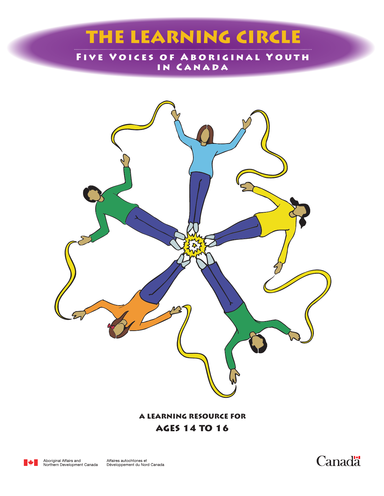# THE LEARNING CIRCLE

Five Voices of Aboriginal Youth in Canada



A Learning Resource for ages 14 to 16



Affaires autochtones et<br>Développement du Nord Canada

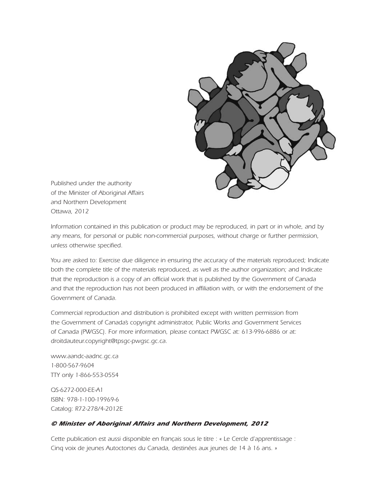

*Published under the authority of the Minister of Aboriginal Affairs and Northern Development Ottawa, 2012*

*Information contained in this publication or product may be reproduced, in part or in whole, and by any means, for personal or public non-commercial purposes, without charge or further permission, unless otherwise specified.*

*You are asked to: Exercise due diligence in ensuring the accuracy of the materials reproduced; Indicate both the complete title of the materials reproduced, as well as the author organization; and Indicate that the reproduction is a copy of an official work that is published by the Government of Canada and that the reproduction has not been produced in affiliation with, or with the endorsement of the Government of Canada.*

*Commercial reproduction and distribution is prohibited except with written permission from the Government of Canada's copyright administrator, Public Works and Government Services of Canada (PWGSC). For more information, please contact PWGSC at: 613-996-6886 or at: droitdauteur.copyright@tpsgc-pwgsc.gc.ca.*

*www.aandc-aadnc.gc.ca 1-800-567-9604 TTY only 1-866-553-0554*

*QS-6272-000-EE-A1 ISBN: 978-1-100-19969-6 Catalog: R72-278/4-2012E*

#### *© Minister of Aboriginal Affairs and Northern Development, 2012*

*Cette publication est aussi disponible en français sous le titre : « Le Cercle d'apprentissage : Cinq voix de jeunes Autoctones du Canada, destinées aux jeunes de 14 à 16 ans. »*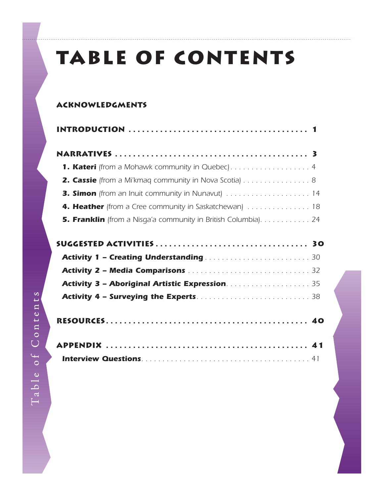# Table of Contents

#### Acknowledgments

| <b>2. Cassie</b> (from a Mi'kmag community in Nova Scotia) 8                                     |  |
|--------------------------------------------------------------------------------------------------|--|
| <b>3. Simon</b> (from an Inuit community in Nunavut) $\ldots \ldots \ldots \ldots \ldots \ldots$ |  |
| <b>4. Heather</b> (from a Cree community in Saskatchewan) 18                                     |  |
| <b>5. Franklin</b> (from a Nisga'a community in British Columbia). 24                            |  |

| <b>Activity 1 – Creating Understanding manufacturers and Activity 1 – Creating Understanding manufacturers and S</b> |  |
|----------------------------------------------------------------------------------------------------------------------|--|
|                                                                                                                      |  |
|                                                                                                                      |  |
|                                                                                                                      |  |
|                                                                                                                      |  |

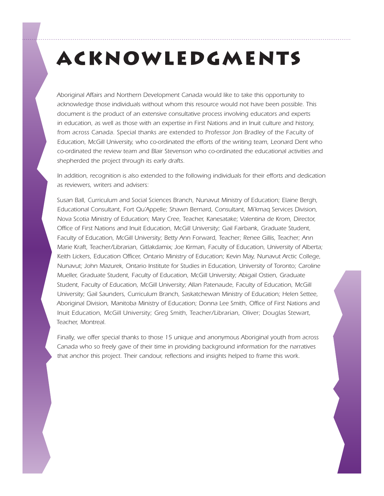# Acknowledgments

*Aboriginal Affairs and Northern Development Canada would like to take this opportunity to acknowledge those individuals without whom this resource would not have been possible. This document is the product of an extensive consultative process involving educators and experts in education, as well as those with an expertise in First Nations and in Inuit culture and history,*  from across Canada. Special thanks are extended to Professor Jon Bradley of the Faculty of *Education, McGill University, who co-ordinated the efforts of the writing team, Leonard Dent who co-ordinated the review team and Blair Stevenson who co-ordinated the educational activities and shepherded the project through its early drafts.*

*In addition, recognition is also extended to the following individuals for their efforts and dedication as reviewers, writers and advisers:* 

*Susan Ball, Curriculum and Social Sciences Branch, Nunavut Ministry of Education; Elaine Bergh, Educational Consultant, Fort Qu'Appelle; Shawn Bernard, Consultant, Mi'kmaq Services Division, Nova Scotia Ministry of Education; Mary Cree, Teacher, Kanesatake; Valentina de Krom, Director, Office of First Nations and Inuit Education, McGill University; Gail Fairbank, Graduate Student, Faculty of Education, McGill University; Betty Ann Forward, Teacher; Renee Gillis, Teacher; Ann Marie Kraft, Teacher/Librarian, Gitlakdamix; Joe Kirman, Faculty of Education, University of Alberta; Keith Lickers, Education Officer, Ontario Ministry of Education; Kevin May, Nunavut Arctic College, Nunavut; John Mazurek, Ontario Institute for Studies in Education, University of Toronto; Caroline Mueller, Graduate Student, Faculty of Education, McGill University; Abigail Ostien, Graduate Student, Faculty of Education, McGill University; Allan Patenaude, Faculty of Education, McGill University; Gail Saunders, Curriculum Branch, Saskatchewan Ministry of Education; Helen Settee, Aboriginal Division, Manitoba Ministry of Education; Donna Lee Smith, Office of First Nations and Inuit Education, McGill University; Greg Smith, Teacher/Librarian, Oliver; Douglas Stewart, Teacher, Montreal.*

*Finally, we offer special thanks to those 15 unique and anonymous Aboriginal youth from across Canada who so freely gave of their time in providing background information for the narratives that anchor this project. Their candour, reflections and insights helped to frame this work.*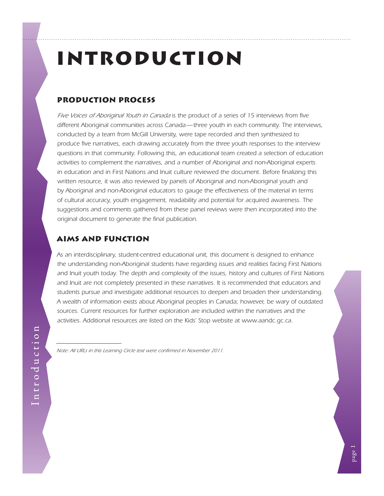# <span id="page-4-0"></span>Introduction

#### Production Process

*Five Voices of Aboriginal Youth in Canada is the product of a series of 15 interviews from five different Aboriginal communities across Canada—three youth in each community. The interviews, conducted by a team from McGill University, were tape recorded and then synthesized to produce five narratives, each drawing accurately from the three youth responses to the interview questions in that community. Following this, an educational team created a selection of education activities to complement the narratives, and a number of Aboriginal and non-Aboriginal experts in education and in First Nations and Inuit culture reviewed the document. Before finalizing this*  written resource, it was also reviewed by panels of Aboriginal and non-Aboriginal youth and *by Aboriginal and non-Aboriginal educators to gauge the effectiveness of the material in terms of cultural accuracy, youth engagement, readability and potential for acquired awareness. The suggestions and comments gathered from these panel reviews were then incorporated into the original document to generate the final publication.*

#### Aims and Function

*As an interdisciplinary, student-centred educational unit, this document is designed to enhance the understanding non-Aboriginal students have regarding issues and realities facing First Nations and Inuit youth today. The depth and complexity of the issues, history and cultures of First Nations*  and Inuit are not completely presented in these narratives. It is recommended that educators and *students pursue and investigate additional resources to deepen and broaden their understanding. A wealth of information exists about Aboriginal peoples in Canada; however, be wary of outdated*  sources. Current resources for further exploration are included within the narratives and the *activities. Additional resources are listed on the Kids' Stop website at [www.aandc.gc.ca.](http://www.aandc.gc.ca)*

*Note: All URLs in this Learning Circle text were confirmed in November 2011.*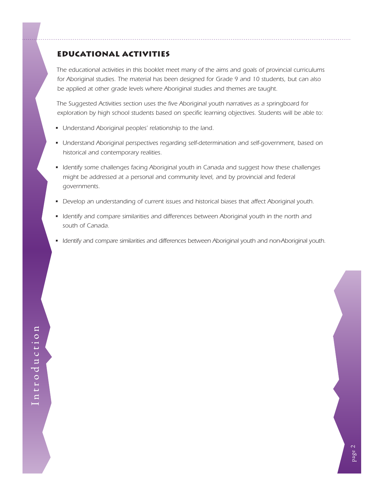#### Educational Activities

*The educational activities in this booklet meet many of the aims and goals of provincial curriculums for Aboriginal studies. The material has been designed for Grade 9 and 10 students, but can also be applied at other grade levels where Aboriginal studies and themes are taught.*

*The Suggested Activities section uses the five Aboriginal youth narratives as a springboard for exploration by high school students based on specific learning objectives. Students will be able to:*

- Understand Aboriginal peoples' relationship to the land.
- Understand Aboriginal perspectives regarding self-determination and self-government, based on *historical and contemporary realities.*
- Identify some challenges facing Aboriginal youth in Canada and suggest how these challenges *might be addressed at a personal and community level, and by provincial and federal governments.*
- Develop an understanding of current issues and historical biases that affect Aboriginal youth.
- Identify and compare similarities and differences between Aboriginal youth in the north and *south of Canada.*
- Identify and compare similarities and differences between Aboriginal youth and non-Aboriginal youth.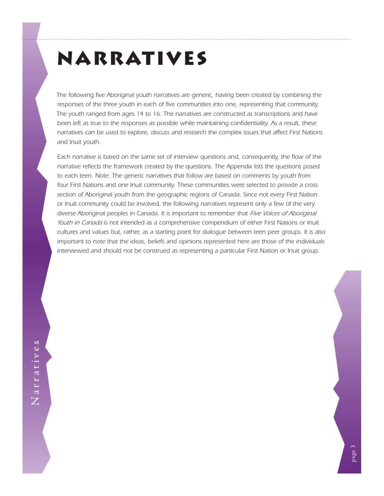# <span id="page-6-0"></span>Narratives

*The following five Aboriginal youth narratives are generic, having been created by combining the responses of the three youth in each of five communities into one, representing that community. The youth ranged from ages 14 to 16. The narratives are constructed as transcriptions and have been left as true to the responses as possible while maintaining confidentiality. As a result, these narratives can be used to explore, discuss and research the complex issues that affect First Nations and Inuit youth.*

Each narrative is based on the same set of interview questions and, consequently, the flow of the *narrative reflects the framework created by the questions. The Appendix lists the questions posed*  to each teen. Note: The generic narratives that follow are based on comments by youth from *four First Nations and one Inuit community. These communities were selected to provide a cross section of Aboriginal youth from the geographic regions of Canada. Since not every First Nation or Inuit community could be involved, the following narratives represent only a few of the very*  diverse Aboriginal peoples in Canada. It is important to remember that *Five Voices of Aboriginal Youth in Canada is not intended as a comprehensive compendium of either First Nations or Inuit cultures and values but, rather, as a starting point for dialogue between teen peer groups. It is also important to note that the ideas, beliefs and opinions represented here are those of the individuals interviewed and should not be construed as representing a particular First Nation or Inuit group.*

Narratives Narratives

page 3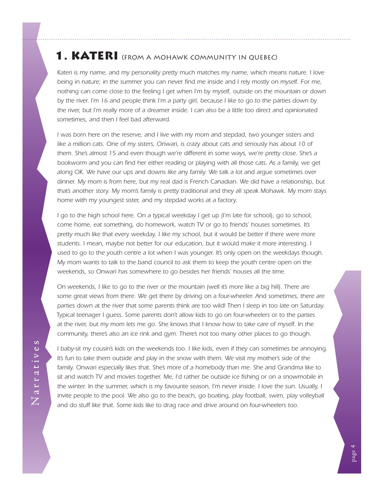## <span id="page-7-0"></span>1. KATERI (FROM A MOHAWK COMMUNITY IN QUEBEC)

*Kateri is my name, and my personality pretty much matches my name, which means nature. I love*  being in nature; in the summer you can never find me inside and I rely mostly on myself. For me, *nothing can come close to the feeling I get when I'm by myself, outside on the mountain or down*  by the river. I'm 16 and people think I'm a party girl, because I like to go to the parties down by *the river, but I'm really more of a dreamer inside. I can also be a little too direct and opinionated sometimes, and then I feel bad afterward.*

*I* was born here on the reserve, and *I* live with my mom and stepdad, two younger sisters and like a million cats. One of my sisters, Onwari, is crazy about cats and seriously has about 10 of *them. She's almost 15 and even though we're different in some ways, we're pretty close. She's a bookworm and you can find her either reading or playing with all those cats. As a family, we get along OK. We have our ups and downs like any family. We talk a lot and argue sometimes over dinner. My mom is from here, but my real dad is French Canadian. We did have a relationship, but that's another story. My mom's family is pretty traditional and they all speak Mohawk. My mom stays home with my youngest sister, and my stepdad works at a factory.*

*I go to the high school here. On a typical weekday I get up (I'm late for school), go to school, come home, eat something, do homework, watch TV or go to friends' houses sometimes. It's pretty much like that every weekday. I like my school, but it would be better if there were more*  students. I mean, maybe not better for our education, but it would make it more interesting. I *used to go to the youth centre a lot when I was younger. It's only open on the weekdays though. My mom wants to talk to the band council to ask them to keep the youth centre open on the weekends, so Onwari has somewhere to go besides her friends' houses all the time.*

*On weekends, I like to go to the river or the mountain (well it's more like a big hill). There are some great views from there. We get there by driving on a four-wheeler. And sometimes, there are parties down at the river that some parents think are too wild! Then I sleep in too late on Saturday. Typical teenager I guess. Some parents don't allow kids to go on four-wheelers or to the parties at the river, but my mom lets me go. She knows that I know how to take care of myself. In the community, there's also an ice rink and gym. There's not too many other places to go though.*

*I baby-sit my cousin's kids on the weekends too. I like kids, even if they can sometimes be annoying. It's fun to take them outside and play in the snow with them. We visit my mother's side of the family. Onwari especially likes that. She's more of a homebody than me. She and Grandma like to sit and watch TV and movies together. Me, I'd rather be outside ice fishing or on a snowmobile in*  the winter. In the summer, which is my favourite season, I'm never inside. I love the sun. Usually, I *invite people to the pool. We also go to the beach, go boating, play football, swim, play volleyball and do stuff like that. Some kids like to drag race and drive around on four-wheelers too.*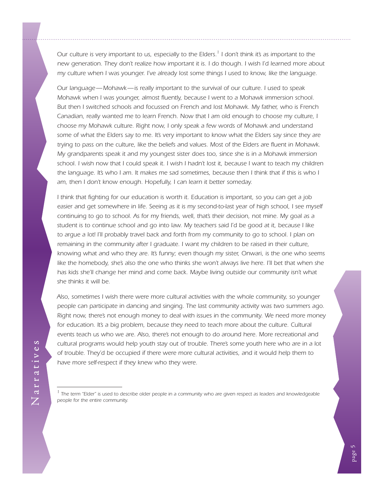*Our culture is very important to us, especially to the Elders. 1 I don't think it's as important to the new generation. They don't realize how important it is. I do though. I wish I'd learned more about my culture when I was younger. I've already lost some things I used to know, like the language.*

*Our language—Mohawk—is really important to the survival of our culture. I used to speak Mohawk when I was younger, almost fluently, because I went to a Mohawk immersion school. But then I switched schools and focussed on French and lost Mohawk. My father, who is French Canadian, really wanted me to learn French. Now that I am old enough to choose my culture, I choose my Mohawk culture. Right now, I only speak a few words of Mohawk and understand some of what the Elders say to me. It's very important to know what the Elders say since they are trying to pass on the culture, like the beliefs and values. Most of the Elders are fluent in Mohawk. My grandparents speak it and my youngest sister does too, since she is in a Mohawk immersion*  school. I wish now that I could speak it. I wish I hadn't lost it, because I want to teach my children the language. It's who I am. It makes me sad sometimes, because then I think that if this is who I *am, then I don't know enough. Hopefully, I can learn it better someday.*

*I think that fighting for our education is worth it. Education is important, so you can get a job*  easier and get somewhere in life. Seeing as it is my second-to-last year of high school, I see myself *continuing to go to school. As for my friends, well, that's their decision, not mine. My goal as a student is to continue school and go into law. My teachers said I'd be good at it, because I like*  to argue a lot! I'll probably travel back and forth from my community to go to school. I plan on remaining in the community after I graduate. I want my children to be raised in their culture, *knowing what and who they are. It's funny; even though my sister, Onwari, is the one who seems*  like the homebody, she's also the one who thinks she won't always live here. I'll bet that when she has kids she'll change her mind and come back. Maybe living outside our community isn't what *she thinks it will be.*

*Also, sometimes I wish there were more cultural activities with the whole community, so younger people can participate in dancing and singing. The last community activity was two summers ago. Right now, there's not enough money to deal with issues in the community. We need more money*  for education. It's a big problem, because they need to teach more about the culture. Cultural *events teach us who we are. Also, there's not enough to do around here. More recreational and cultural programs would help youth stay out of trouble. There's some youth here who are in a lot of trouble. They'd be occupied if there were more cultural activities, and it would help them to have more self-respect if they knew who they were.*

<sup>&</sup>lt;sup>1</sup> The term "Elder" is used to describe older people in a community who are given respect as leaders and knowledgeable *people for the entire community.*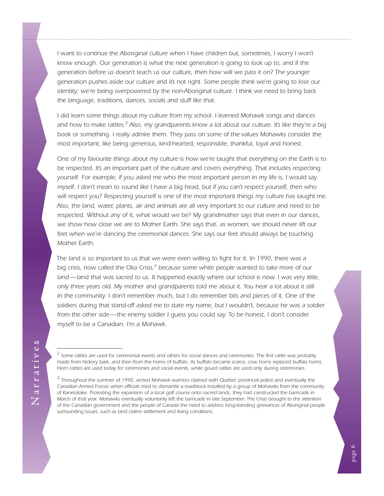*I* want to continue the Aboriginal culture when I have children but, sometimes, I worry I won't *know enough. Our generation is what the next generation is going to look up to, and if the generation before us doesn't teach us our culture, then how will we pass it on? The younger generation pushes aside our culture and it's not right. Some people think we're going to lose our identity; we're being overpowered by the non-Aboriginal culture. I think we need to bring back the language, traditions, dances, socials and stuff like that.*

*I did learn some things about my culture from my school. I learned Mohawk songs and dances* and how to make rattles.<sup>2</sup> Also, my grandparents know a lot about our culture. It's like they're a big *book or something. I really admire them. They pass on some of the values Mohawks consider the most important, like being generous, kind-hearted, responsible, thankful, loyal and honest.*

*One of my favourite things about my culture is how we're taught that everything on the Earth is to*  be respected. It's an important part of the culture and covers everything. That includes respecting *yourself. For example, if you asked me who the most important person in my life is, I would say myself. I don't mean to sound like I have a big head, but if you can't respect yourself, then who will respect you? Respecting yourself is one of the most important things my culture has taught me. Also, the land, water, plants, air and animals are all very important to our culture and need to be respected. Without any of it, what would we be? My grandmother says that even in our dances, we show how close we are to Mother Earth. She says that, as women, we should never lift our*  feet when we're dancing the ceremonial dances. She says our feet should always be touching *Mother Earth.*

The land is so important to us that we were even willing to fight for it. In 1990, there was a big crisis, now called the Oka Crisis,<sup>3</sup> because some white people wanted to take more of our land—land that was sacred to us. It happened exactly where our school is now. I was very little, *only three years old. My mother and grandparents told me about it. You hear a lot about it still in the community. I don't remember much, but I do remember bits and pieces of it. One of the soldiers during that stand-off asked me to state my name, but I wouldn't, because he was a soldier from the other side—the enemy soldier I guess you could say. To be honest, I don't consider myself to be a Canadian. I'm a Mohawk.*

*<sup>2</sup> Some rattles are used for ceremonial events and others for social dances and ceremonies. The first rattle was probably made from hickory bark, and then from the horns of buffalo. As buffalo became scarce, cow horns replaced buffalo horns. Horn rattles are used today for ceremonies and social events, while gourd rattles are used only during ceremonies.*

<sup>&</sup>lt;sup>3</sup> Throughout the summer of 1990, armed Mohawk warriors clashed with Quebec provincial police and eventually the *Canadian Armed Forces when officials tried to dismantle a roadblock installed by a group of Mohawks from the community of Kanesatake. Protesting the expansion of a local golf course onto sacred lands, they had constructed the barricade in March of that year. Mohawks eventually voluntarily left the barricade in late September. The Crisis brought to the attention of the Canadian government and the people of Canada the need to address long-standing grievances of Aboriginal people surrounding issues, such as land claims settlement and living conditions.*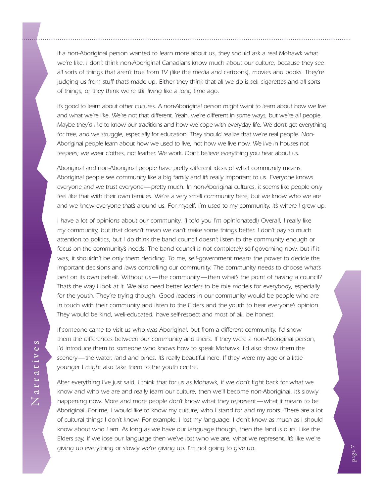If a non-Aboriginal person wanted to learn more about us, they should ask a real Mohawk what *we're like. I don't think non-Aboriginal Canadians know much about our culture, because they see all sorts of things that aren't true from TV (like the media and cartoons), movies and books. They're judging us from stuff that's made up. Either they think that all we do is sell cigarettes and all sorts of things, or they think we're still living like a long time ago.*

It's good to learn about other cultures. A non-Aboriginal person might want to learn about how we live *and what we're like. We're not that different. Yeah, we're different in some ways, but we're all people. Maybe they'd like to know our traditions and how we cope with everyday life. We don't get everything for free, and we struggle, especially for education. They should realize that we're real people. Non-Aboriginal people learn about how we used to live, not how we live now. We live in houses not teepees; we wear clothes, not leather. We work. Don't believe everything you hear about us.*

*Aboriginal and non-Aboriginal people have pretty different ideas of what community means. Aboriginal people see community like a big family and it's really important to us. Everyone knows everyone and we trust everyone—pretty much. In non-Aboriginal cultures, it seems like people only*  feel like that with their own families. We're a very small community here, but we know who we are *and we know everyone that's around us. For myself, I'm used to my community. It's where I grew up.*

*I have a lot of opinions about our community. (I told you I'm opinionated!) Overall, I really like my community, but that doesn't mean we can't make some things better. I don't pay so much attention to politics, but I do think the band council doesn't listen to the community enough or*  focus on the community's needs. The band council is not completely self-governing now, but if it was, it shouldn't be only them deciding. To me, self-government means the power to decide the important decisions and laws controlling our community. The community needs to choose what's *best on its own behalf. Without us—the community—then what's the point of having a council? That's the way I look at it. We also need better leaders to be role models for everybody, especially*  for the youth. They're trying though. Good leaders in our community would be people who are *in touch with their community and listen to the Elders and the youth to hear everyone's opinion. They would be kind, well-educated, have self-respect and most of all, be honest.*

*If someone came to visit us who was Aboriginal, but from a different community, I'd show them the differences between our community and theirs. If they were a non-Aboriginal person, I'd introduce them to someone who knows how to speak Mohawk. I'd also show them the scenery—the water, land and pines. It's really beautiful here. If they were my age or a little younger I might also take them to the youth centre.*

*After everything I've just said, I think that for us as Mohawk, if we don't fight back for what we know and who we are and really learn our culture, then we'll become non-Aboriginal. It's slowly happening now. More and more people don't know what they represent—what it means to be Aboriginal. For me, I would like to know my culture, who I stand for and my roots. There are a lot of cultural things I don't know. For example, I lost my language. I don't know as much as I should know about who I am. As long as we have our language though, then the land is ours. Like the Elders say, if we lose our language then we've lost who we are, what we represent. It's like we're giving up everything or slowly we're giving up. I'm not going to give up.*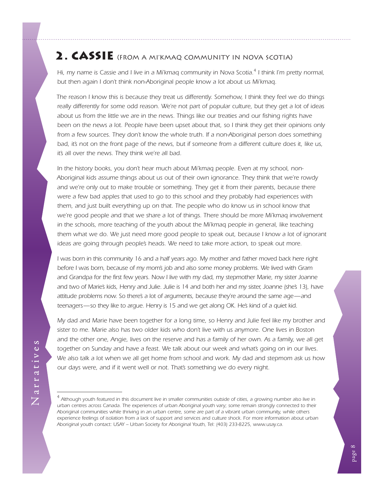## <span id="page-11-0"></span>2. CASSIE (FROM A MI'KMAQ COMMUNITY IN NOVA SCOTIA)

*Hi, my name is Cassie and I live in a Mi'kmaq community in Nova Scotia. 4 I think I'm pretty normal, but then again I don't think non-Aboriginal people know a lot about us Mi'kmaq.*

*The reason I know this is because they treat us differently. Somehow, I think they feel we do things really differently for some odd reason. We're not part of popular culture, but they get a lot of ideas*  about us from the little we are in the news. Things like our treaties and our fishing rights have been on the news a lot. People have been upset about that, so I think they get their opinions only from a few sources. They don't know the whole truth. If a non-Aboriginal person does something *bad, it's not on the front page of the news, but if someone from a different culture does it, like us, it's all over the news. They think we're all bad.*

*In the history books, you don't hear much about Mi'kmaq people. Even at my school, non-Aboriginal kids assume things about us out of their own ignorance. They think that we're rowdy and we're only out to make trouble or something. They get it from their parents, because there were a few bad apples that used to go to this school and they probably had experiences with them, and just built everything up on that. The people who do know us in school know that we're good people and that we share a lot of things. There should be more Mi'kmaq involvement in the schools, more teaching of the youth about the Mi'kmag people in general, like teaching them what we do. We just need more good people to speak out, because I know a lot of ignorant ideas are going through people's heads. We need to take more action, to speak out more.*

*I* was born in this community 16 and a half years ago. My mother and father moved back here right *before I was born, because of my mom's job and also some money problems. We lived with Gram and Grandpa for the first few years. Now I live with my dad, my stepmother Marie, my sister Joanne and two of Marie's kids, Henry and Julie. Julie is 14 and both her and my sister, Joanne (she's 13), have attitude problems now. So there's a lot of arguments, because they're around the same age—and teenagers—so they like to argue. Henry is 15 and we get along OK. He's kind of a quiet kid.*

*My dad and Marie have been together for a long time, so Henry and Julie feel like my brother and sister to me. Marie also has two older kids who don't live with us anymore. One lives in Boston and the other one, Angie, lives on the reserve and has a family of her own. As a family, we all get together on Sunday and have a feast. We talk about our week and what's going on in our lives. We also talk a lot when we all get home from school and work. My dad and stepmom ask us how our days were, and if it went well or not. That's something we do every night.*

<sup>&</sup>lt;sup>4</sup> Although youth featured in this document live in smaller communities outside of cities, a growing number also live in *urban centres across Canada. The experiences of urban Aboriginal youth vary; some remain strongly connected to their Aboriginal communities while thriving in an urban centre, some are part of a vibrant urban community, while others experience feelings of isolation from a lack of support and services and culture shock. For more information about urban Aboriginal youth contact: USAY – Urban Society for Aboriginal Youth, Tel: (403) 233-8225, [www.usay.ca.](http://www.usay.ca/)*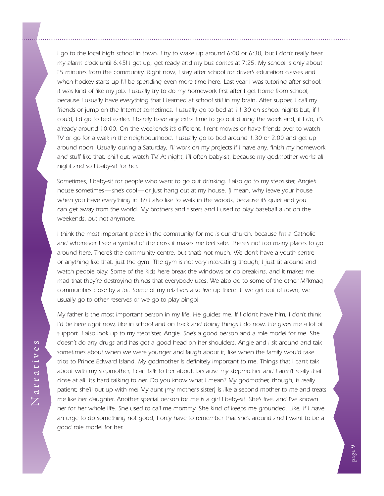*I go to the local high school in town. I try to wake up around 6:00 or 6:30, but I don't really hear my alarm clock until 6:45! I get up, get ready and my bus comes at 7:25. My school is only about 15 minutes from the community. Right now, I stay after school for driver's education classes and*  when hockey starts up I'll be spending even more time here. Last year I was tutoring after school; *it was kind of like my job. I usually try to do my homework first after I get home from school, because I usually have everything that I learned at school still in my brain. After supper, I call my friends or jump on the Internet sometimes. I usually go to bed at 11:30 on school nights but, if I could, I'd go to bed earlier. I barely have any extra time to go out during the week and, if I do, it's already around 10:00. On the weekends it's different. I rent movies or have friends over to watch TV or go for a walk in the neighbourhood. I usually go to bed around 1:30 or 2:00 and get up around noon. Usually during a Saturday, I'll work on my projects if I have any, finish my homework*  and stuff like that, chill out, watch TV. At night, I'll often baby-sit, because my godmother works all *night and so I baby-sit for her.*

Sometimes, I baby-sit for people who want to go out drinking. I also go to my stepsister, Angie's *house sometimes—she's cool—or just hang out at my house. (I mean, why leave your house when you have everything in it?) I also like to walk in the woods, because it's quiet and you can get away from the world. My brothers and sisters and I used to play baseball a lot on the weekends, but not anymore.*

*I think the most important place in the community for me is our church, because I'm a Catholic and whenever I see a symbol of the cross it makes me feel safe. There's not too many places to go around here. There's the community centre, but that's not much. We don't have a youth centre or anything like that, just the gym. The gym is not very interesting though; I just sit around and*  watch people play. Some of the kids here break the windows or do break-ins, and it makes me *mad that they're destroying things that everybody uses. We also go to some of the other Mi'kmaq communities close by a lot. Some of my relatives also live up there. If we get out of town, we usually go to other reserves or we go to play bingo!* 

*My father is the most important person in my life. He guides me. If I didn't have him, I don't think I'd be here right now, like in school and on track and doing things I do now. He gives me a lot of support. I also look up to my stepsister, Angie. She's a good person and a role model for me. She doesn't do any drugs and has got a good head on her shoulders. Angie and I sit around and talk sometimes about when we were younger and laugh about it, like when the family would take trips to Prince Edward Island. My godmother is definitely important to me. Things that I can't talk*  about with my stepmother, I can talk to her about, because my stepmother and I aren't really that *close at all. It's hard talking to her. Do you know what I mean? My godmother, though, is really patient; she'll put up with me! My aunt (my mother's sister) is like a second mother to me and treats me like her daughter. Another special person for me is a girl I baby-sit. She's five, and I've known her for her whole life. She used to call me mommy. She kind of keeps me grounded. Like, if I have an urge to do something not good, I only have to remember that she's around and I want to be a good role model for her.*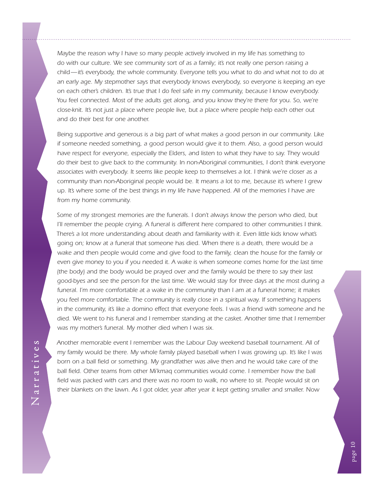*Maybe the reason why I have so many people actively involved in my life has something to do with our culture. We see community sort of as a family; it's not really one person raising a child—it's everybody, the whole community. Everyone tells you what to do and what not to do at an early age. My stepmother says that everybody knows everybody, so everyone is keeping an eye on each other's children. It's true that I do feel safe in my community, because I know everybody. You feel connected. Most of the adults get along, and you know they're there for you. So, we're close-knit. It's not just a place where people live, but a place where people help each other out and do their best for one another.*

*Being supportive and generous is a big part of what makes a good person in our community. Like if someone needed something, a good person would give it to them. Also, a good person would have respect for everyone, especially the Elders, and listen to what they have to say. They would*  do their best to give back to the community. In non-Aboriginal communities, I don't think everyone *associates with everybody. It seems like people keep to themselves a lot. I think we're closer as a community than non-Aboriginal people would be. It means a lot to me, because it's where I grew up. It's where some of the best things in my life have happened. All of the memories I have are from my home community.*

*Some of my strongest memories are the funerals. I don't always know the person who died, but I'll remember the people crying. A funeral is different here compared to other communities I think.* There's a lot more understanding about death and familiarity with it. Even little kids know what's *going on; know at a funeral that someone has died. When there is a death, there would be a wake and then people would come and give food to the family, clean the house for the family or*  even give money to you if you needed it. A wake is when someone comes home for the last time *(the body) and the body would be prayed over and the family would be there to say their last good-byes and see the person for the last time. We would stay for three days at the most during a funeral. I'm more comfortable at a wake in the community than I am at a funeral home; it makes you feel more comfortable. The community is really close in a spiritual way. If something happens in the community, it's like a domino effect that everyone feels. I was a friend with someone and he died. We went to his funeral and I remember standing at the casket. Another time that I remember was my mother's funeral. My mother died when I was six.*

*Another memorable event I remember was the Labour Day weekend baseball tournament. All of my family would be there. My whole family played baseball when I was growing up. It's like I was born on a ball field or something. My grandfather was alive then and he would take care of the*  ball field. Other teams from other Mi'kmaq communities would come. I remember how the ball field was packed with cars and there was no room to walk, no where to sit. People would sit on *their blankets on the lawn. As I got older, year after year it kept getting smaller and smaller. Now* 

page 10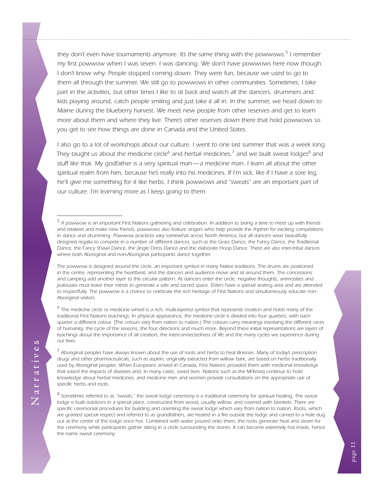*they don't even have tournaments anymore. It's the same thing with the powwows. 5 I remember my first powwow when I was seven. I was dancing. We don't have powwows here now though. I don't know why. People stopped coming down. They were fun, because we used to go to them all through the summer. We still go to powwows in other communities. Sometimes, I take*  part in the activities, but other times I like to sit back and watch all the dancers, drummers and kids playing around, catch people smiling and just take it all in. In the summer, we head down to *Maine during the blueberry harvest. We meet new people from other reserves and get to learn more about them and where they live. There's other reserves down there that hold powwows so you get to see how things are done in Canada and the United States.*

*I also go to a lot of workshops about our culture. I went to one last summer that was a week long. They taught us about the medicine circle<sup>6</sup> and herbal medicines,<sup>7</sup> and we built sweat lodges<sup>8</sup> and stuff like that. My godfather is a very spiritual man—a medicine man. I learn all about the other spiritual realm from him, because he's really into his medicines. If I'm sick, like if I have a sore leg,*  he'll give me something for it like herbs. I think powwows and "sweats" are an important part of *our culture. I'm learning more as I keep going to them.*

The powwow is designed around the circle, an important symbol in many Native traditions. The drums are positioned *in the centre, representing the heartbeat, and the dancers and audience move and sit around them. The concessions and camping add another layer to this circular pattern. As dancers enter the circle, negative thoughts, animosities and jealousies must leave their minds to generate a safe and sacred space. Elders have a special seating area and are attended to respectfully. The powwow is a chance to celebrate the rich heritage of First Nations and simultaneously educate non-Aboriginal visitors.*

<sup>6</sup> The medicine circle or medicine wheel is a rich, multi-layered symbol that represents creation and holds many of the *traditional First Nations teachings. In physical appearance, the medicine circle is divided into four quarters, with each quarter a different colour. (The colours vary from nation to nation.) The colours carry meanings involving the different races of humanity, the cycle of the seasons, the four directions and much more. Beyond these initial representations are layers of teachings about the importance of all creation, the interconnectedness of life and the many cycles we experience during our lives.*

<sup>7</sup> Aboriginal peoples have always known about the use of roots and herbs to heal illnesses. Many of today's prescription *drugs and other pharmaceuticals, such as aspirin, originally extracted from willow bark, are based on herbs traditionally used by Aboriginal peoples. When Europeans arrived in Canada, First Nations provided them with medicinal knowledge that eased the impacts of diseases and, in many cases, saved lives. Nations such as the Mi'kmaq continue to hold knowledge about herbal medicines, and medicine men and women provide consultations on the appropriate use of specific herbs and roots.*

<sup>8</sup> Sometimes referred to as "sweats," the sweat lodge ceremony is a traditional ceremony for spiritual healing. The sweat *lodge is built outdoors in a special place, constructed from wood, usually willow, and covered with blankets. There are specific ceremonial procedures for building and orienting the sweat lodge which vary from nation to nation. Rocks, which are granted special respect and referred to as grandfathers, are heated in a fire outside the lodge and carried to a hole dug out at the center of the lodge once hot. Combined with water poured onto them, the rocks generate heat and steam for the ceremony while participants gather sitting in a circle surrounding the stones. It can become extremely hot inside, hence the name sweat ceremony.*

<sup>&</sup>lt;sup>5</sup> A powwow is an important First Nations gathering and celebration. In addition to being a time to meet up with friends *and relatives and make new friends, powwows also feature singers who help provide the rhythm for exciting competitions in dance and drumming. Powwow practices vary somewhat across North America, but all dancers wear beautifully designed regalia to compete in a number of different dances, such as the Grass Dance, the Fancy Dance, the Traditional Dance, the Fancy Shawl Dance, the Jingle Dress Dance and the elaborate Hoop Dance. There are also inter-tribal dances where both Aboriginal and non-Aboriginal participants dance together.*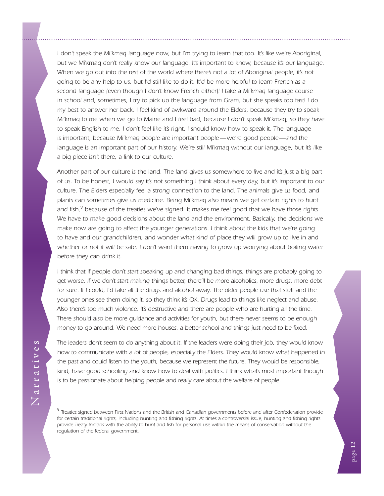*I don't speak the Mi'kmaq language now, but I'm trying to learn that too. It's like we're Aboriginal, but we Mi'kmaq don't really know our language. It's important to know, because it's our language.* When we go out into the rest of the world where there's not a lot of Aboriginal people, it's not *going to be any help to us, but I'd still like to do it. It'd be more helpful to learn French as a second language (even though I don't know French either)! I take a Mi'kmaq language course in school and, sometimes, I try to pick up the language from Gram, but she speaks too fast! I do my best to answer her back. I feel kind of awkward around the Elders, because they try to speak Mi'kmaq to me when we go to Maine and I feel bad, because I don't speak Mi'kmaq, so they have*  to speak English to me. I don't feel like it's right. I should know how to speak it. The language *is important, because Mi'kmaq people are important people—we're good people—and the language is an important part of our history. We're still Mi'kmaq without our language, but it's like a big piece isn't there, a link to our culture.*

*Another part of our culture is the land. The land gives us somewhere to live and it's just a big part of us. To be honest, I would say it's not something I think about every day, but it's important to our culture. The Elders especially feel a strong connection to the land. The animals give us food, and plants can sometimes give us medicine. Being Mi'kmaq also means we get certain rights to hunt and fish,<sup>9</sup> because of the treaties we've signed. It makes me feel good that we have those rights. We have to make good decisions about the land and the environment. Basically, the decisions we*  make now are going to affect the younger generations. I think about the kids that we're going to have and our grandchildren, and wonder what kind of place they will grow up to live in and whether or not it will be safe. I don't want them having to grow up worrying about boiling water *before they can drink it.*

*I think that if people don't start speaking up and changing bad things, things are probably going to get worse. If we don't start making things better, there'll be more alcoholics, more drugs, more debt*  for sure. If I could, I'd take all the drugs and alcohol away. The older people use that stuff and the *younger ones see them doing it, so they think it's OK. Drugs lead to things like neglect and abuse. Also there's too much violence. It's destructive and there are people who are hurting all the time. There should also be more guidance and activities for youth, but there never seems to be enough money to go around. We need more houses, a better school and things just need to be fixed.*

*The leaders don't seem to do anything about it. If the leaders were doing their job, they would know*  how to communicate with a lot of people, especially the Elders. They would know what happened in the past and could listen to the youth, because we represent the future. They would be responsible, *kind, have good schooling and know how to deal with politics. I think what's most important though is to be passionate about helping people and really care about the welfare of people.*

*<sup>9</sup> Treaties signed between First Nations and the British and Canadian governments before and after Confederation provide for certain traditional rights, including hunting and fishing rights. At times a controversial issue, hunting and fishing rights provide Treaty Indians with the ability to hunt and fish for personal use within the means of conservation without the regulation of the federal government.*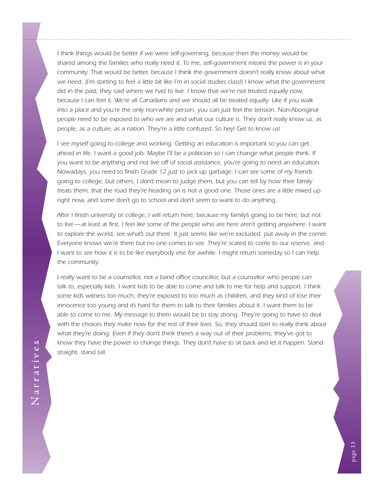*I think things would be better if we were self-governing, because then the money would be shared among the families who really need it. To me, self-government means the power is in your community. That would be better, because I think the government doesn't really know about what we need. (I'm starting to feel a little bit like I'm in social studies class!) I know what the government did in the past; they said where we had to live. I know that we're not treated equally now, because I can feel it. We're all Canadians and we should all be treated equally. Like if you walk into a place and you're the only non-white person, you can just feel the tension. Non-Aboriginal people need to be exposed to who we are and what our culture is. They don't really know us, as people, as a culture, as a nation. They're a little confused. So hey! Get to know us!* 

*I see myself going to college and working. Getting an education is important so you can get*  ahead in life. I want a good job. Maybe I'll be a politician so I can change what people think. If *you want to be anything and not live off of social assistance, you're going to need an education. Nowadays, you need to finish Grade 12 just to pick up garbage. I can see some of my friends going to college, but others, I don't mean to judge them, but you can tell by how their family treats them, that the road they're heading on is not a good one. Those ones are a little mixed up right now, and some don't go to school and don't seem to want to do anything.*

*After I finish university or college, I will return here, because my family's going to be here, but not*  to live—at least at first. I feel like some of the people who are here aren't getting anywhere. I want *to explore the world, see what's out there. It just seems like we're excluded, put away in the corner. Everyone knows we're there but no one comes to see. They're scared to come to our reserve, and I* want to see how it is to be like everybody else for awhile. I might return someday so I can help *the community.*

*I really want to be a counsellor, not a band office councillor, but a counsellor who people can talk to, especially kids. I want kids to be able to come and talk to me for help and support. I think*  some kids witness too much; they're exposed to too much as children, and they kind of lose their *innocence too young and it's hard for them to talk to their families about it. I want them to be*  able to come to me. My message to them would be to stay strong. They're going to have to deal *with the choices they make now for the rest of their lives. So, they should start to really think about what they're doing. Even if they don't think there's a way out of their problems, they've got to*  know they have the power to change things. They don't have to sit back and let it happen. Stand *straight, stand tall.*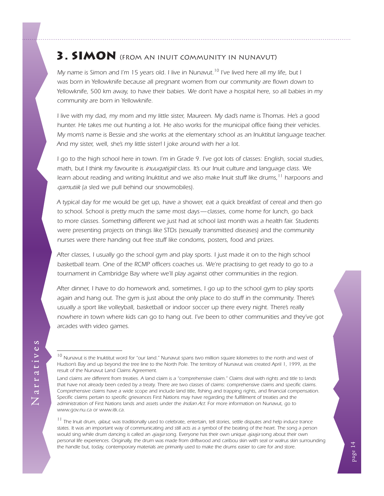## <span id="page-17-0"></span>3. SIMON (FROM AN INUIT COMMUNITY IN NUNAVUT)

*My name is Simon and I'm 15 years old. I live in Nunavut. 10 I've lived here all my life, but I was born in Yellowknife because all pregnant women from our community are flown down to Yellowknife, 500 km away, to have their babies. We don't have a hospital here, so all babies in my community are born in Yellowknife.*

*I live with my dad, my mom and my little sister, Maureen. My dad's name is Thomas. He's a good hunter. He takes me out hunting a lot. He also works for the municipal office fixing their vehicles. My mom's name is Bessie and she works at the elementary school as an Inuktitut language teacher. And my sister, well, she's my little sister! I joke around with her a lot.*

*I go to the high school here in town. I'm in Grade 9. I've got lots of classes: English, social studies, math, but I think my favourite is inuuqatigiit class. It's our Inuit culture and language class. We learn about reading and writing Inuktitut and we also make Inuit stuff like drums,11 harpoons and qamutiik (a sled we pull behind our snowmobiles).*

*A typical day for me would be get up, have a shower, eat a quick breakfast of cereal and then go to school. School is pretty much the same most days—classes, come home for lunch, go back to more classes. Something different we just had at school last month was a health fair. Students were presenting projects on things like STDs (sexually transmitted diseases) and the community nurses were there handing out free stuff like condoms, posters, food and prizes.*

*After classes, I usually go the school gym and play sports. I just made it on to the high school basketball team. One of the RCMP officers coaches us. We're practising to get ready to go to a tournament in Cambridge Bay where we'll play against other communities in the region.*

*After dinner, I have to do homework and, sometimes, I go up to the school gym to play sports*  again and hang out. The gym is just about the only place to do stuff in the community. There's usually a sport like volleyball, basketball or indoor soccer up there every night. There's really *nowhere in town where kids can go to hang out. I've been to other communities and they've got arcades with video games.*

*11 The Inuit drum, qilaut, was traditionally used to celebrate, entertain, tell stories, settle disputes and help induce trance states. It was an important way of communicating and still acts as a symbol of the beating of the heart. The song a person would sing while drum dancing is called an ajaaja song. Everyone has their own unique ajaaja song about their own personal life experiences. Originally, the drum was made from driftwood and caribou skin with seal or walrus skin surrounding the handle but, today, contemporary materials are primarily used to make the drums easier to care for and store.*

Narratives Narratives

*<sup>10</sup> Nunavut is the Inuktitut word for "our land." Nunavut spans two million square kilometres to the north and west of Hudson's Bay and up beyond the tree line to the North Pole. The territory of Nunavut was created April 1, 1999, as the result of the Nunavut Land Claims Agreement.*

*Land claims are different from treaties. A land claim is a "comprehensive claim." Claims deal with rights and title to lands that have not already been ceded by a treaty. There are two classes of claims: comprehensive claims and specific claims. Comprehensive claims have a wide scope and include land title, fishing and trapping rights, and financial compensation.* Specific claims pertain to specific grievances First Nations may have regarding the fulfillment of treaties and the *administration of First Nations lands and assets under the Indian Act. For more information on Nunavut, go to [www.gov.nu.ca](http://www.gov.nu.ca/Nunavut) or [www.itk.ca](http://www.itk.ca).*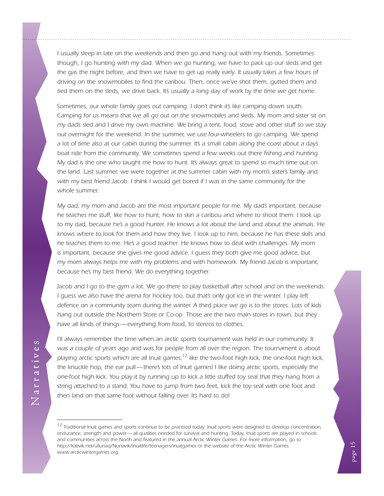*I* usually sleep in late on the weekends and then go and hang out with my friends. Sometimes *though, I go hunting with my dad. When we go hunting, we have to pack up our sleds and get*  the gas the night before, and then we have to get up really early. It usually takes a few hours of *driving on the snowmobiles to find the caribou. Then, once we've shot them, gutted them and tied them on the sleds, we drive back. It's usually a long day of work by the time we get home.*

*Sometimes, our whole family goes out camping. I don't think it's like camping down south. Camping for us means that we all go out on the snowmobiles and sleds. My mom and sister sit on my dad's sled and I drive my own machine. We bring a tent, food, stove and other stuff so we stay*  out overnight for the weekend. In the summer, we use four-wheelers to go camping. We spend *a lot of time also at our cabin during the summer. It's a small cabin along the coast about a day's boat ride from the community. We sometimes spend a few weeks out there fishing and hunting. My dad is the one who taught me how to hunt. It's always great to spend so much time out on the land. Last summer, we were together at the summer cabin with my mom's sister's family and with my best friend Jacob. I think I would get bored if I was in the same community for the whole summer.*

*My dad, my mom and Jacob are the most important people for me. My dad's important, because he teaches me stuff, like how to hunt, how to skin a caribou and where to shoot them. I look up to my dad, because he's a good hunter. He knows a lot about the land and about the animals. He knows where to look for them and how they live. I look up to him, because he has these skills and he teaches them to me. He's a good teacher. He knows how to deal with challenges. My mom*  is important, because she gives me good advice. I guess they both give me good advice, but *my mom always helps me with my problems and with homework. My friend Jacob is important, because he's my best friend. We do everything together.*

*Jacob and I go to the gym a lot. We go there to play basketball after school and on the weekends. I guess we also have the arena for hockey too, but that's only got ice in the winter. I play left defence on a community team during the winter. A third place we go is to the stores. Lots of kids hang out outside the Northern Store or Co-op. Those are the two main stores in town, but they have all kinds of things—everything from food, to stereos to clothes.*

*I'll always remember the time when an arctic sports tournament was held in our community. It was a couple of years ago and was for people from all over the region. The tournament is about playing arctic sports which are all Inuit games,*<sup>12</sup> like the two-foot high kick, the one-foot high kick, *the knuckle hop, the ear pull—there's lots of Inuit games! I like doing arctic sports, especially the one-foot high kick. You play it by running up to kick a little stuffed toy seal that they hang from a string attached to a stand. You have to jump from two feet, kick the toy seal with one foot and then land on that same foot without falling over. It's hard to do!* 

*<sup>12</sup> Traditional Inuit games and sports continue to be practised today. Inuit sports were designed to develop concentration, endurance, strength and power—all qualities needed for survival and hunting. Today, Inuit sports are played in schools and communities across the North and featured in the annual Arctic Winter Games. For more information, go to [http://kativik.net/ulluriaq/Nunavik/inuitlife/teenagers/inuitgames](http://kativik.net/ulluriaq/Nunavik/inuitlife/teenagers/inuitgames/) or the website of the Arctic Winter Games [www.](http://www.awg.ca/)arcticwintergames.org.*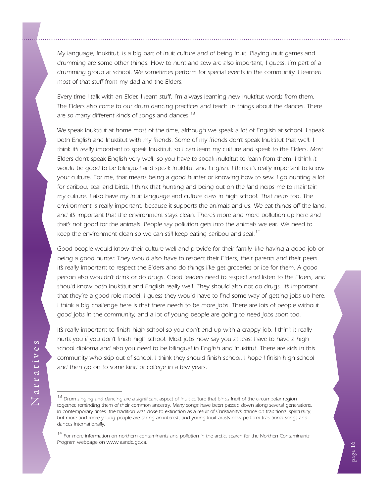*My language, Inuktitut, is a big part of Inuit culture and of being Inuit. Playing Inuit games and drumming are some other things. How to hunt and sew are also important, I guess. I'm part of a drumming group at school. We sometimes perform for special events in the community. I learned most of that stuff from my dad and the Elders.*

*Every time I talk with an Elder, I learn stuff. I'm always learning new Inuktitut words from them. The Elders also come to our drum dancing practices and teach us things about the dances. There are so many different kinds of songs and dances. 13*

*We speak Inuktitut at home most of the time, although we speak a lot of English at school. I speak*  both English and Inuktitut with my friends. Some of my friends don't speak Inuktitut that well. I *think it's really important to speak Inuktitut, so I can learn my culture and speak to the Elders. Most Elders don't speak English very well, so you have to speak Inuktitut to learn from them. I think it would be good to be bilingual and speak Inuktitut and English. I think it's really important to know your culture. For me, that means being a good hunter or knowing how to sew. I go hunting a lot for caribou, seal and birds. I think that hunting and being out on the land helps me to maintain my culture. I also have my Inuit language and culture class in high school. That helps too. The environment is really important, because it supports the animals and us. We eat things off the land,*  and it's important that the environment stays clean. There's more and more pollution up here and *that's not good for the animals. People say pollution gets into the animals we eat. We need to keep the environment clean so we can still keep eating caribou and seal. 14*

*Good people would know their culture well and provide for their family, like having a good job or being a good hunter. They would also have to respect their Elders, their parents and their peers. It's really important to respect the Elders and do things like get groceries or ice for them. A good*  person also wouldn't drink or do drugs. Good leaders need to respect and listen to the Elders, and *should know both Inuktitut and English really well. They should also not do drugs. It's important that they're a good role model. I guess they would have to find some way of getting jobs up here. I think a big challenge here is that there needs to be more jobs. There are lots of people without good jobs in the community, and a lot of young people are going to need jobs soon too.*

*It's really important to finish high school so you don't end up with a crappy job. I think it really hurts you if you don't finish high school. Most jobs now say you at least have to have a high school diploma and also you need to be bilingual in English and Inuktitut. There are kids in this community who skip out of school. I think they should finish school. I hope I finish high school and then go on to some kind of college in a few years.*

*<sup>13</sup> Drum singing and dancing are a significant aspect of Inuit culture that binds Inuit of the circumpolar region together, reminding them of their common ancestry. Many songs have been passed down along several generations. In contemporary times, the tradition was close to extinction as a result of Christianity's stance on traditional spirituality, but more and more young people are taking an interest, and young Inuit artists now perform traditional songs and dances internationally.*

<sup>&</sup>lt;sup>14</sup> For more information on northern contaminants and pollution in the arctic, search for the Northen Contaminants *Program webpage on www.aandc.gc.ca.*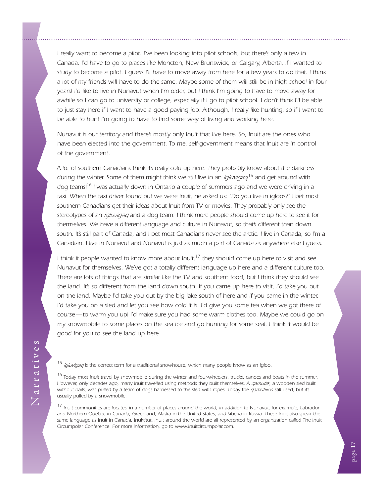*I really want to become a pilot. I've been looking into pilot schools, but there's only a few in Canada. I'd have to go to places like Moncton, New Brunswick, or Calgary, Alberta, if I wanted to study to become a pilot. I guess I'll have to move away from here for a few years to do that. I think a lot of my friends will have to do the same. Maybe some of them will still be in high school in four years! I'd like to live in Nunavut when I'm older, but I think I'm going to have to move away for awhile so I can go to university or college, especially if I go to pilot school. I don't think I'll be able* to just stay here if I want to have a good paying job. Although, I really like hunting, so if I want to *be able to hunt I'm going to have to find some way of living and working here.*

*Nunavut is our territory and there's mostly only Inuit that live here. So, Inuit are the ones who*  have been elected into the government. To me, self-government means that Inuit are in control *of the government.*

*A lot of southern Canadians think it's really cold up here. They probably know about the darkness during the winter. Some of them might think we still live in an <i>igluvigag*<sup>15</sup> and get around with *dog teams!16 I was actually down in Ontario a couple of summers ago and we were driving in a taxi. When the taxi driver found out we were Inuit, he asked us: "Do you live in igloos?" I bet most southern Canadians get their ideas about Inuit from TV or movies. They probably only see the stereotypes of an igluvigaq and a dog team. I think more people should come up here to see it for themselves. We have a different language and culture in Nunavut, so that's different than down south. It's still part of Canada, and I bet most Canadians never see the arctic. I live in Canada, so I'm a Canadian. I live in Nunavut and Nunavut is just as much a part of Canada as anywhere else I guess.*

*I think if people wanted to know more about Inuit,17 they should come up here to visit and see Nunavut for themselves. We've got a totally different language up here and a different culture too. There are lots of things that are similar like the TV and southern food, but I think they should see the land. It's so different from the land down south. If you came up here to visit, I'd take you out on the land. Maybe I'd take you out by the big lake south of here and if you came in the winter, I'd take you on a sled and let you see how cold it is. I'd give you some tea when we got there of course—to warm you up! I'd make sure you had some warm clothes too. Maybe we could go on my snowmobile to some places on the sea ice and go hunting for some seal. I think it would be good for you to see the land up here.*

*<sup>15</sup> Igluvigaq is the correct term for a traditional snowhouse, which many people know as an igloo.*

*<sup>16</sup> Today most Inuit travel by snowmobile during the winter and four-wheelers, trucks, canoes and boats in the summer. However, only decades ago, many Inuit travelled using methods they built themselves. A <i>qamutiik*, a wooden sled built *without nails, was pulled by a team of dogs harnessed to the sled with ropes. Today the*  $qamutik$  *is still used, but it's usually pulled by a snowmobile.*

*<sup>17</sup> Inuit communities are located in a number of places around the world, in addition to Nunavut, for example, Labrador and Northern Quebec in Canada, Greenland, Alaska in the United States, and Siberia in Russia. These Inuit also speak the*  same language as Inuit in Canada, Inuktitut. Inuit around the world are all represented by an organization called The Inuit *Circumpolar Conference. For more information, go to ww[w.inuitcircumpolar.com.](http://www.inuitcircumpolar.com/)*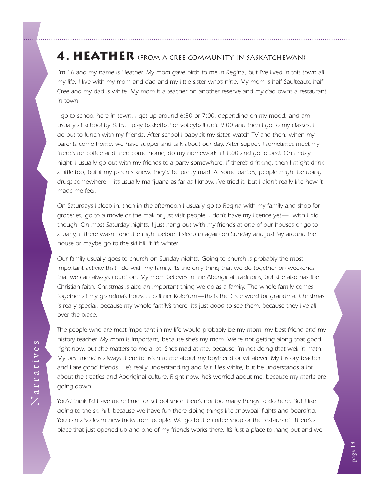## <span id="page-21-0"></span>4. HEATHER (FROM A CREE COMMUNITY IN SASKATCHEWAN)

*I'm 16 and my name is Heather. My mom gave birth to me in Regina, but I've lived in this town all my life. I live with my mom and dad and my little sister who's nine. My mom is half Saulteaux, half Cree and my dad is white. My mom is a teacher on another reserve and my dad owns a restaurant in town.*

*I go to school here in town. I get up around 6:30 or 7:00, depending on my mood, and am usually at school by 8:15. I play basketball or volleyball until 9:00 and then I go to my classes. I go out to lunch with my friends. After school I baby-sit my sister, watch TV and then, when my parents come home, we have supper and talk about our day. After supper, I sometimes meet my friends for coffee and then come home, do my homework till 1:00 and go to bed. On Friday night, I usually go out with my friends to a party somewhere. If there's drinking, then I might drink a little too, but if my parents knew, they'd be pretty mad. At some parties, people might be doing drugs somewhere—it's usually marijuana as far as I know. I've tried it, but I didn't really like how it made me feel.*

*On Saturdays I sleep in, then in the afternoon I usually go to Regina with my family and shop for groceries, go to a movie or the mall or just visit people. I don't have my licence yet—I wish I did though! On most Saturday nights, I just hang out with my friends at one of our houses or go to a party, if there wasn't one the night before. I sleep in again on Sunday and just lay around the house or maybe go to the ski hill if it's winter.*

*Our family usually goes to church on Sunday nights. Going to church is probably the most important activity that I do with my family. It's the only thing that we do together on weekends that we can always count on. My mom believes in the Aboriginal traditions, but she also has the Christian faith. Christmas is also an important thing we do as a family. The whole family comes*  together at my grandma's house. I call her Koke'um—that's the Cree word for grandma. Christmas is really special, because my whole family's there. It's just good to see them, because they live all *over the place.*

*The people who are most important in my life would probably be my mom, my best friend and my history teacher. My mom is important, because she's my mom. We're not getting along that good right now, but she matters to me a lot. She's mad at me, because I'm not doing that well in math. My best friend is always there to listen to me about my boyfriend or whatever. My history teacher and I are good friends. He's really understanding and fair. He's white, but he understands a lot about the treaties and Aboriginal culture. Right now, he's worried about me, because my marks are going down.*

*You'd think I'd have more time for school since there's not too many things to do here. But I like going to the ski hill, because we have fun there doing things like snowball fights and boarding. You can also learn new tricks from people. We go to the coffee shop or the restaurant. There's a place that just opened up and one of my friends works there. It's just a place to hang out and we*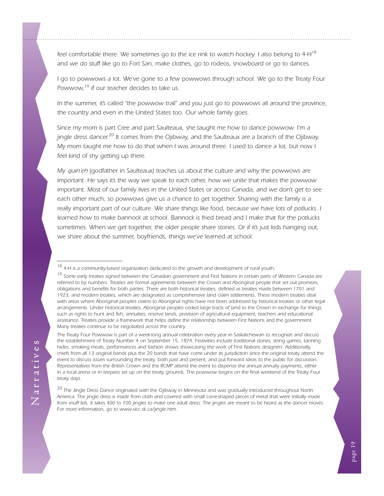*feel comfortable there. We sometimes go to the ice rink to watch hockey. I also belong to 4-H<sup>18</sup> and we do stuff like go to Fort San, make clothes, go to rodeos, snowboard or go to dances.*

*I go to powwows a lot. We've gone to a few powwows through school. We go to the Treaty Four Powwow,19 if our teacher decides to take us.*

*In the summer, it's called "the powwow trail" and you just go to powwows all around the province, the country and even in the United States too. Our whole family goes.*

*Since my mom is part Cree and part Saulteaux, she taught me how to dance powwow. I'm a jingle dress dancer. 20 It comes from the Ojibway, and the Saulteaux are a branch of the Ojibway. My mom taught me how to do that when I was around three. I used to dance a lot, but now I feel kind of shy getting up there.*

*My quin'eh (godfather in Saulteaux) teaches us about the culture and why the powwows are important. He says it's the way we speak to each other, how we unite that makes the powwow important. Most of our family lives in the United States or across Canada, and we don't get to see*  each other much, so powwows give us a chance to get together. Sharing with the family is a really important part of our culture. We share things like food, because we have lots of potlucks. I *learned how to make bannock at school. Bannock is fried bread and I make that for the potlucks sometimes. When we get together, the older people share stories. Or if it's just kids hanging out, we share about the summer, boyfriends, things we've learned at school.*

*The Treaty Four Powwow is part of a week-long annual celebration every year in Saskatchewan to recognize and discuss the establishment of Treaty Number 4 on September 15, 1874. Festivities include traditional stories, string games, tanning hides, smoking meats, performances and fashion shows showcasing the work of First Nations designers. Additionally, chiefs from all 13 original bands plus the 20 bands that have come under its jurisdiction since the original treaty attend the event to discuss issues surrounding the treaty, both past and present, and put forward ideas to the public for discussion. Representatives from the British Crown and the RCMP attend the event to dispense the annual annuity payments, either in a local arena or in teepees set up on the treaty grounds. The powwow begins on the final weekend of the Treaty Four treaty days.*

*20 The Jingle Dress Dance originated with the Ojibway in Minnesota and was gradually introduced throughout North America. The jingle dress is made from cloth and covered with small cone-shaped pieces of metal that were initially made from snuff lids. It takes 400 to 700 jingles to make one adult dress. The jingles are meant to be heard as the dancer moves. For more information, go to ww[w.sicc.sk.ca/jingle.htm.](http://www.sicc.sk.ca/saskindian/a97jun29.htm)*

*<sup>18 4-</sup>H is a community-based organization dedicated to the growth and development of rural youth.*

*<sup>19</sup> Some early treaties signed between the Canadian government and First Nations in certain parts of Western Canada are*  referred to by numbers. Treaties are formal agreements between the Crown and Aboriginal people that set out promises, *obligations and benefits for both parties. There are both historical treaties, defined as treaties made between 1701 and*  1923, and modern treaties, which are designated as comprehensive land claim settlements. These modern treaties deal with areas where Aboriginal people's claims to Aboriginal rights have not been addressed by historical treaties or other legal *arrangements. Under historical treaties, Aboriginal peoples ceded large tracts of land to the Crown in exchange for things,*  such as rights to hunt and fish, annuities, reserve lands, provision of agricultural equipment, teachers and educational *assistance. Treaties provide a framework that helps define the relationship between First Nations and the government. Many treaties continue to be negotiated across the country.*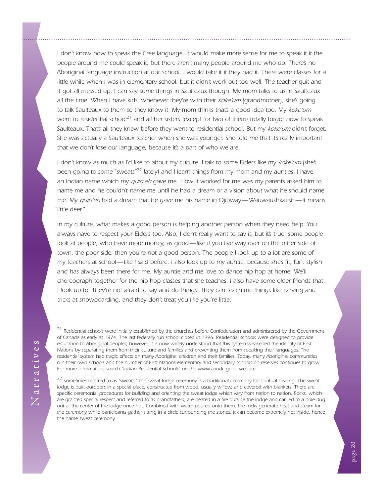*I don't know how to speak the Cree language. It would make more sense for me to speak it if the people around me could speak it, but there aren't many people around me who do. There's no Aboriginal language instruction at our school. I would take it if they had it. There were classes for a little while when I was in elementary school, but it didn't work out too well. The teacher quit and it got all messed up. I can say some things in Saulteaux though. My mom talks to us in Saulteaux all the time. When I have kids, whenever they're with their koke'um (grandmother), she's going*  to talk Saulteaux to them so they know it. My mom thinks that's a good idea too. My koke'um *went to residential school21 and all her sisters (except for two of them) totally forgot how to speak Saulteaux. That's all they knew before they went to residential school. But my koke'um didn't forget. She was actually a Saulteaux teacher when she was younger. She told me that it's really important that we don't lose our language, because it's a part of who we are.*

*I don't know as much as I'd like to about my culture. I talk to some Elders like my koke'um* (she's *been going to some "sweats"22 lately) and I learn things from my mom and my aunties. I have an Indian name which my quin'eh gave me. How it worked for me was my parents asked him to name me and he couldn't name me until he had a dream or a vision about what he should name me. My quin'eh had a dream that he gave me his name in Ojibway—Wauwaushkaesh—it means "little deer."* 

*In my culture, what makes a good person is helping another person when they need help. You always have to respect your Elders too. Also, I don't really want to say it, but it's true: some people*  look at people, who have more money, as good—like if you live way over on the other side of town, the poor side, then you're not a good person. The people I look up to a lot are some of *my teachers at school—like I said before. I also look up to my auntie, because she's fit, fun, stylish*  and has always been there for me. My auntie and me love to dance hip hop at home. We'll *choreograph together for the hip hop classes that she teaches. I also have some older friends that I look up to. They're not afraid to say and do things. They can teach me things like carving and tricks at snowboarding, and they don't treat you like you're little.*

*<sup>21</sup> Residential schools were initially established by the churches before Confederation and administered by the Government of Canada as early as 1874. The last federally run school closed in 1996. Residential schools were designed to provide education to Aboriginal peoples; however, it is now widely understood that this system weakened the identity of First Nations by separating them from their culture and families and preventing them from speaking their languages. The residential system had tragic effects on many Aboriginal children and their families. Today, many Aboriginal communities run their own schools and the number of First Nations elementary and secondary schools on reserves continues to grow. For more information, search "Indian Residential Schools" on the www.aandc.gc.ca website.*

*<sup>22</sup> Sometimes referred to as "sweats," the sweat lodge ceremony is a traditional ceremony for spiritual healing. The sweat lodge is built outdoors in a special place, constructed from wood, usually willow, and covered with blankets. There are specific ceremonial procedures for building and orienting the sweat lodge which vary from nation to nation. Rocks, which are granted special respect and referred to as grandfathers, are heated in a fire outside the lodge and carried to a hole dug out at the center of the lodge once hot. Combined with water poured onto them, the rocks generate heat and steam for the ceremony while participants gather sitting in a circle surrounding the stones. It can become extremely hot inside, hence the name sweat ceremony.*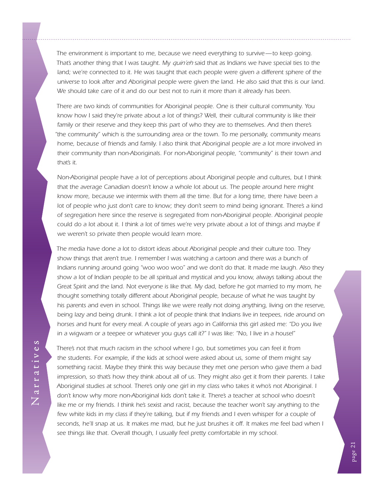*The environment is important to me, because we need everything to survive—to keep going. That's another thing that I was taught. My quin'eh said that as Indians we have special ties to the land; we're connected to it. He was taught that each people were given a different sphere of the universe to look after and Aboriginal people were given the land. He also said that this is our land. We should take care of it and do our best not to ruin it more than it already has been.*

*There are two kinds of communities for Aboriginal people. One is their cultural community. You know how I said they're private about a lot of things? Well, their cultural community is like their*  family or their reserve and they keep this part of who they are to themselves. And then there's *"the community" which is the surrounding area or the town. To me personally, community means home, because of friends and family. I also think that Aboriginal people are a lot more involved in their community than non-Aboriginals. For non-Aboriginal people, "community" is their town and that's it.*

*Non-Aboriginal people have a lot of perceptions about Aboriginal people and cultures, but I think that the average Canadian doesn't know a whole lot about us. The people around here might know more, because we intermix with them all the time. But for a long time, there have been a lot of people who just don't care to know; they don't seem to mind being ignorant. There's a kind of segregation here since the reserve is segregated from non-Aboriginal people. Aboriginal people*  could do a lot about it. I think a lot of times we're very private about a lot of things and maybe if *we weren't so private then people would learn more.*

*The media have done a lot to distort ideas about Aboriginal people and their culture too. They*  show things that aren't true. I remember I was watching a cartoon and there was a bunch of *Indians running around going "woo woo woo" and we don't do that. It made me laugh. Also they show a lot of Indian people to be all spiritual and mystical and you know, always talking about the*  Great Spirit and the land. Not everyone is like that. My dad, before he got married to my mom, he *thought something totally different about Aboriginal people, because of what he was taught by*  his parents and even in school. Things like we were really not doing anything, living on the reserve, being lazy and being drunk. I think a lot of people think that Indians live in teepees, ride around on *horses and hunt for every meal. A couple of years ago in California this girl asked me: "Do you live in a wigwam or a teepee or whatever you guys call it?" I was like: "No, I live in a house!"* 

*There's not that much racism in the school where I go, but sometimes you can feel it from the students. For example, if the kids at school were asked about us, some of them might say something racist. Maybe they think this way because they met one person who gave them a bad impression, so that's how they think about all of us. They might also get it from their parents. I take Aboriginal studies at school. There's only one girl in my class who takes it who's not Aboriginal. I*  don't know why more non-Aboriginal kids don't take it. There's a teacher at school who doesn't *like me or my friends. I think he's sexist and racist, because the teacher won't say anything to the*  few white kids in my class if they're talking, but if my friends and I even whisper for a couple of seconds, he'll snap at us. It makes me mad, but he just brushes it off. It makes me feel bad when I *see things like that. Overall though, I usually feel pretty comfortable in my school.*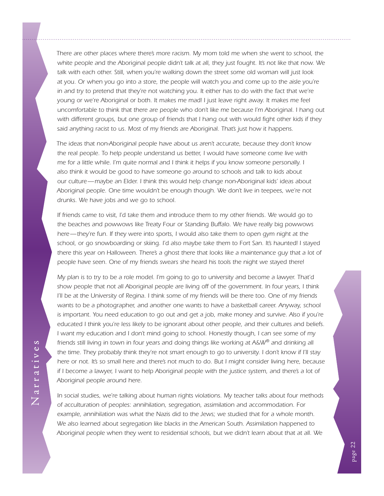There are other places where there's more racism. My mom told me when she went to school, the *white people and the Aboriginal people didn't talk at all, they just fought. It's not like that now. We talk with each other. Still, when you're walking down the street some old woman will just look at you. Or when you go into a store, the people will watch you and come up to the aisle you're in and try to pretend that they're not watching you. It either has to do with the fact that we're young or we're Aboriginal or both. It makes me mad! I just leave right away. It makes me feel uncomfortable to think that there are people who don't like me because I'm Aboriginal. I hang out with different groups, but one group of friends that I hang out with would fight other kids if they said anything racist to us. Most of my friends are Aboriginal. That's just how it happens.*

*The ideas that non-Aboriginal people have about us aren't accurate, because they don't know the real people. To help people understand us better, I would have someone come live with me for a little while. I'm quite normal and I think it helps if you know someone personally. I also think it would be good to have someone go around to schools and talk to kids about our culture—maybe an Elder. I think this would help change non-Aboriginal kids' ideas about Aboriginal people. One time wouldn't be enough though. We don't live in teepees, we're not drunks. We have jobs and we go to school.*

*If friends came to visit, I'd take them and introduce them to my other friends. We would go to the beaches and powwows like Treaty Four or Standing Buffalo. We have really big powwows here—they're fun. If they were into sports, I would also take them to open gym night at the school, or go snowboarding or skiing. I'd also maybe take them to Fort San. It's haunted! I stayed there this year on Halloween. There's a ghost there that looks like a maintenance guy that a lot of people have seen. One of my friends swears she heard his tools the night we stayed there!* 

*My plan is to try to be a role model. I'm going to go to university and become a lawyer. That'd show people that not all Aboriginal people are living off of the government. In four years, I think I'll be at the University of Regina. I think some of my friends will be there too. One of my friends wants to be a photographer, and another one wants to have a basketball career. Anyway, school*  is important. You need education to go out and get a job, make money and survive. Also if you're *educated I think you're less likely to be ignorant about other people, and their cultures and beliefs. I* want my education and I don't mind going to school. Honestly though, I can see some of my *friends still living in town in four years and doing things like working at A&W® and drinking all the time. They probably think they're not smart enough to go to university. I don't know if I'll stay here or not. It's so small here and there's not much to do. But I might consider living here, because if I become a lawyer, I want to help Aboriginal people with the justice system, and there's a lot of Aboriginal people around here.*

*In social studies, we're talking about human rights violations. My teacher talks about four methods of acculturation of peoples: annihilation, segregation, assimilation and accommodation. For example, annihilation was what the Nazis did to the Jews; we studied that for a whole month. We also learned about segregation like blacks in the American South. Assimilation happened to Aboriginal people when they went to residential schools, but we didn't learn about that at all. We*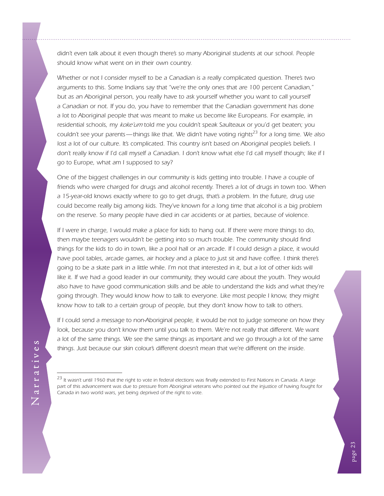*didn't even talk about it even though there's so many Aboriginal students at our school. People should know what went on in their own country.*

*Whether or not I consider myself to be a Canadian is a really complicated question. There's two arguments to this. Some Indians say that "we're the only ones that are 100 percent Canadian,"*  but as an Aboriginal person, you really have to ask yourself whether you want to call yourself *a Canadian or not. If you do, you have to remember that the Canadian government has done a lot to Aboriginal people that was meant to make us become like Europeans. For example, in residential schools, my koke'um told me you couldn't speak Saulteaux or you'd get beaten; you couldn't see your parents—things like that. We didn't have voting rights23 for a long time. We also lost a lot of our culture. It's complicated. This country isn't based on Aboriginal people's beliefs. I* don't really know if I'd call myself a Canadian. I don't know what else I'd call myself though; like if I *go to Europe, what am I supposed to say?* 

*One of the biggest challenges in our community is kids getting into trouble. I have a couple of friends who were charged for drugs and alcohol recently. There's a lot of drugs in town too. When a 15-year-old knows exactly where to go to get drugs, that's a problem. In the future, drug use could become really big among kids. They've known for a long time that alcohol is a big problem on the reserve. So many people have died in car accidents or at parties, because of violence.*

*If I were in charge, I would make a place for kids to hang out. If there were more things to do, then maybe teenagers wouldn't be getting into so much trouble. The community should find*  things for the kids to do in town, like a pool hall or an arcade. If I could design a place, it would have pool tables, arcade games, air hockey and a place to just sit and have coffee. I think there's *going to be a skate park in a little while. I'm not that interested in it, but a lot of other kids will* like it. If we had a good leader in our community, they would care about the youth. They would *also have to have good communication skills and be able to understand the kids and what they're going through. They would know how to talk to everyone. Like most people I know, they might know how to talk to a certain group of people, but they don't know how to talk to others.*

*If I could send a message to non-Aboriginal people, it would be not to judge someone on how they* look, because you don't know them until you talk to them. We're not really that different. We want *a lot of the same things. We see the same things as important and we go through a lot of the same things. Just because our skin colour's different doesn't mean that we're different on the inside.*

*<sup>23</sup> It wasn't until 1960 that the right to vote in federal elections was finally extended to First Nations in Canada. A large part of this advancement was due to pressure from Aboriginal veterans who pointed out the injustice of having fought for Canada in two world wars, yet being deprived of the right to vote.*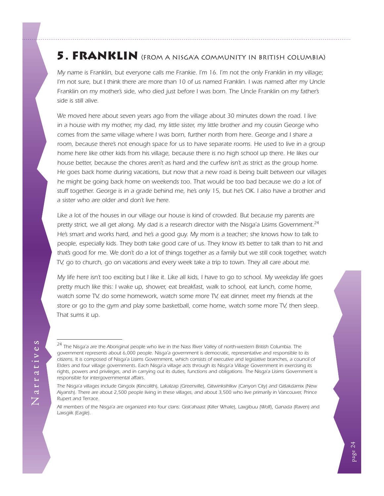## <span id="page-27-0"></span>5. FRANKLIN (FROM A NISGA'A COMMUNITY IN BRITISH COLUMBIA)

*My name is Franklin, but everyone calls me Frankie. I'm 16. I'm not the only Franklin in my village; I'm not sure, but I think there are more than 10 of us named Franklin. I was named after my Uncle* Franklin on my mother's side, who died just before I was born. The Uncle Franklin on my father's *side is still alive.*

*We moved here about seven years ago from the village about 30 minutes down the road. I live in a house with my mother, my dad, my little sister, my little brother and my cousin George who comes from the same village where I was born, further north from here. George and I share a*  room, because there's not enough space for us to have separate rooms. He used to live in a group *home here like other kids from his village, because there is no high school up there. He likes our house better, because the chores aren't as hard and the curfew isn't as strict as the group home. He goes back home during vacations, but now that a new road is being built between our villages he might be going back home on weekends too. That would be too bad because we do a lot of stuff together. George is in a grade behind me, he's only 15, but he's OK. I also have a brother and a sister who are older and don't live here.*

Like a lot of the houses in our village our house is kind of crowded. But because my parents are *pretty strict, we all get along. My dad is a research director with the Nisga'a Lisims Government. 24 He's smart and works hard, and he's a good guy. My mom is a teacher; she knows how to talk to people, especially kids. They both take good care of us. They know it's better to talk than to hit and that's good for me. We don't do a lot of things together as a family but we still cook together, watch TV, go to church, go on vacations and every week take a trip to town. They all care about me.*

*My life here isn't too exciting but I like it. Like all kids, I have to go to school. My weekday life goes pretty much like this: I wake up, shower, eat breakfast, walk to school, eat lunch, come home, watch some TV, do some homework, watch some more TV, eat dinner, meet my friends at the store or go to the gym and play some basketball, come home, watch some more TV, then sleep. That sums it up.*

*<sup>24</sup> The Nisga'a are the Aboriginal people who live in the Nass River Valley of north-western British Columbia. The government represents about 6,000 people. Nisga'a government is democratic, representative and responsible to its citizens. It is composed of Nisga'a Lisims Government, which consists of executive and legislative branches, a council of Elders and four village governments. Each Nisga'a village acts through its Nisga'a Village Government in exercising its rights, powers and privileges, and in carrying out its duties, functions and obligations. The Nisga'a Lisims Government is responsible for intergovernmental affairs.*

*The Nisga'a villages include Gingolx (Kincolith), Lakalzap (Greenville), Gitwinksihlkw (Canyon City) and Gitlakdamix (New Aiyansh). There are about 2,500 people living in these villages, and about 3,500 who live primarily in Vancouver, Prince Rupert and Terrace.*

*All members of the Nisga'a are organized into four clans: Gisk'ahaast (Killer Whale), Laxgibuu (Wolf), Ganada (Raven) and Laxsgiik (Eagle).*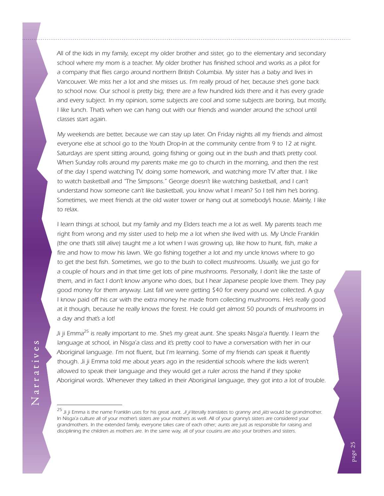*All of the kids in my family, except my older brother and sister, go to the elementary and secondary school where my mom is a teacher. My older brother has finished school and works as a pilot for a company that flies cargo around northern British Columbia. My sister has a baby and lives in Vancouver. We miss her a lot and she misses us. I'm really proud of her, because she's gone back*  to school now. Our school is pretty big; there are a few hundred kids there and it has every grade *and every subject. In my opinion, some subjects are cool and some subjects are boring, but mostly, I like lunch. That's when we can hang out with our friends and wander around the school until classes start again.*

*My weekends are better, because we can stay up later. On Friday nights all my friends and almost everyone else at school go to the Youth Drop-In at the community centre from 9 to 12 at night. Saturdays are spent sitting around, going fishing or going out in the bush and that's pretty cool. When Sunday rolls around my parents make me go to church in the morning, and then the rest of the day I spend watching TV, doing some homework, and watching more TV after that. I like*  to watch basketball and 'The Simpsons." George doesn't like watching basketball, and I can't *understand how someone can't like basketball, you know what I mean? So I tell him he's boring. Sometimes, we meet friends at the old water tower or hang out at somebody's house. Mainly, I like to relax.*

*I learn things at school, but my family and my Elders teach me a lot as well. My parents teach me* right from wrong and my sister used to help me a lot when she lived with us. My Uncle Franklin *(the one that's still alive) taught me a lot when I was growing up, like how to hunt, fish, make a fire and how to mow his lawn. We go fishing together a lot and my uncle knows where to go to get the best fish. Sometimes, we go to the bush to collect mushrooms. Usually, we just go for a couple of hours and in that time get lots of pine mushrooms. Personally, I don't like the taste of them, and in fact I don't know anyone who does, but I hear Japanese people love them. They pay good money for them anyway. Last fall we were getting \$40 for every pound we collected. A guy I know paid off his car with the extra money he made from collecting mushrooms. He's really good at it though, because he really knows the forest. He could get almost 50 pounds of mushrooms in a day and that's a lot!*

*Ji ji Emma25 is really important to me. She's my great aunt. She speaks Nisga'a fluently. I learn the*  language at school, in Nisga'a class and it's pretty cool to have a conversation with her in our *Aboriginal language. I'm not fluent, but I'm learning. Some of my friends can speak it fluently*  though. Ji ji Emma told me about years ago in the residential schools where the kids weren't *allowed to speak their language and they would get a ruler across the hand if they spoke Aboriginal words. Whenever they talked in their Aboriginal language, they got into a lot of trouble.*

*<sup>25</sup> Ji ji Emma is the name Franklin uses for his great aunt. Ji ji literally translates to granny and jiits would be grandmother.* In Nisga'a culture all of your mother's sisters are your mothers as well. All of your granny's sisters are considered your *grandmothers. In the extended family, everyone takes care of each other; aunts are just as responsible for raising and disciplining the children as mothers are. In the same way, all of your cousins are also your brothers and sisters.*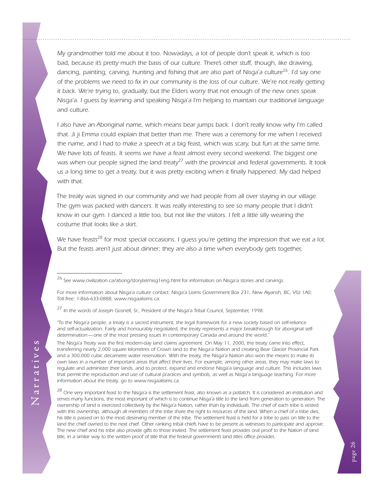*My grandmother told me about it too. Nowadays, a lot of people don't speak it, which is too*  bad, because it's pretty much the basis of our culture. There's other stuff, though, like drawing, *dancing, painting, carving, hunting and fishing that are also part of Nisga'a culture26. I'd say one*  of the problems we need to fix in our community is the loss of our culture. We're not really getting *it back. We're trying to, gradually, but the Elders worry that not enough of the new ones speak Nisga'a. I guess by learning and speaking Nisga'a I'm helping to maintain our traditional language and culture.*

*I also have an Aboriginal name, which means bear jumps back. I don't really know why I'm called that. Ji ji Emma could explain that better than me. There was a ceremony for me when I received the name, and I had to make a speech at a big feast, which was scary, but fun at the same time. We have lots of feasts. It seems we have a feast almost every second weekend. The biggest one was when our people signed the land treaty27 with the provincial and federal governments. It took*  us a long time to get a treaty, but it was pretty exciting when it finally happened. My dad helped *with that.*

*The treaty was signed in our community and we had people from all over staying in our village.* The gym was packed with dancers. It was really interesting to see so many people that I didn't *know in our gym. I danced a little too, but not like the visitors. I felt a little silly wearing the costume that looks like a skirt.*

*We have feasts28 for most special occasions. I guess you're getting the impression that we eat a lot.* But the feasts aren't just about dinner; they are also a time when everybody gets together,

*26 See ww[w.civilization.ca/aborig/storytel/nisg1eng.html](http://www.civilization.ca/aborig/storytel/nisg1eng.html) for information on Nisga'a stories and carvings.*

*27 In the words of Joseph Gosnell, Sr., President of the Nisga'a Tribal Council, September, 1998:*

*"To the Nisga'a people, a treaty is a sacred instrument, the legal framework for a new society based on self-reliance and self-actualization. Fairly and honourably negotiated, the treaty represents a major breakthrough for aboriginal selfdetermination—one of the most pressing issues in contemporary Canada and around the world."*

*The Nisga'a Treaty was the first modern-day land claims agreement. On May 11, 2000, the treaty came into effect, transferring nearly 2,000 square kilometres of Crown land to the Nisga'a Nation and creating Bear Glacier Provincial Park and a 300,000 cubic decametre water reservation. With the treaty, the Nisga'a Nation also won the means to make its own laws in a number of important areas that affect their lives. For example, among other areas, they may make laws to regulate and administer their lands, and to protect, expand and endorse Nisga'a language and culture. This includes laws that permit the reproduction and use of cultural practices and symbols, as well as Nisga'a language teaching. For more information about the treaty, go to ww[w.nisgaalisims.ca.](http://www.nisgaalisims.ca)*

*28 One very important feast to the Nisga'a is the settlement feast, also known as a potlatch. It is considered an institution and serves many functions, the most important of which is to continue Nisga'a title to the land from generation to generation. The ownership of land is exercised collectively by the Nisga'a Nation, rather than by individuals. The chief of each tribe is vested with this ownership, although all members of the tribe share the right to resources of the land. When a chief of a tribe dies, his title is passed on to the most deserving member of the tribe. The settlement feast is held for a tribe to pass on title to the land the chief owned to the next chief. Other ranking tribal chiefs have to be present as witnesses to participate and approve. The new chief and his tribe also provide gifts to those invited. The settlement feast provides oral proof to the Nation of land title, in a similar way to the written proof of title that the federal government's land titles office provides.*

*For more information about Nisga'a culture contact: Nisga'a Lisims Government Box 231, New Aiyansh, BC, V0J 1A0; Toll free: 1-866-633-0888; ww[w.nisgaalisims.ca](http://www.nisgaalisims.ca/).*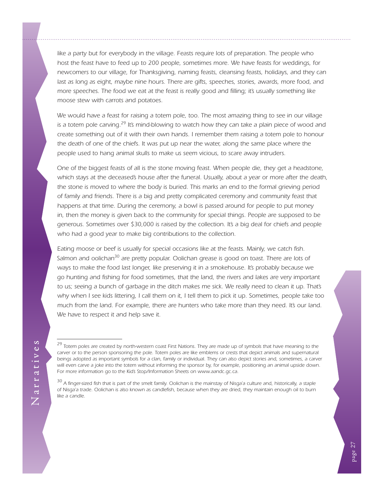like a party but for everybody in the village. Feasts require lots of preparation. The people who *host the feast have to feed up to 200 people, sometimes more. We have feasts for weddings, for newcomers to our village, for Thanksgiving, naming feasts, cleansing feasts, holidays, and they can last as long as eight, maybe nine hours. There are gifts, speeches, stories, awards, more food, and more speeches. The food we eat at the feast is really good and filling; it's usually something like moose stew with carrots and potatoes.*

*We would have a feast for raising a totem pole, too. The most amazing thing to see in our village*  is a totem pole carving.<sup>29</sup> It's mind-blowing to watch how they can take a plain piece of wood and *create something out of it with their own hands. I remember them raising a totem pole to honour the death of one of the chiefs. It was put up near the water, along the same place where the people used to hang animal skulls to make us seem vicious, to scare away intruders.*

*One of the biggest feasts of all is the stone moving feast. When people die, they get a headstone, which stays at the deceased's house after the funeral. Usually, about a year or more after the death, the stone is moved to where the body is buried. This marks an end to the formal grieving period of family and friends. There is a big and pretty complicated ceremony and community feast that*  happens at that time. During the ceremony, a bowl is passed around for people to put money *in, then the money is given back to the community for special things. People are supposed to be generous. Sometimes over \$30,000 is raised by the collection. It's a big deal for chiefs and people who had a good year to make big contributions to the collection.*

*Eating moose or beef is usually for special occasions like at the feasts. Mainly, we catch fish. Salmon and oolichan30 are pretty popular. Oolichan grease is good on toast. There are lots of ways to make the food last longer, like preserving it in a smokehouse. It's probably because we go hunting and fishing for food sometimes, that the land, the rivers and lakes are very important*  to us; seeing a bunch of garbage in the ditch makes me sick. We really need to clean it up. That's *why when I see kids littering, I call them on it, I tell them to pick it up. Sometimes, people take too much from the land. For example, there are hunters who take more than they need. It's our land. We have to respect it and help save it.*

*<sup>29</sup> Totem poles are created by north-western coast First Nations. They are made up of symbols that have meaning to the carver or to the person sponsoring the pole. Totem poles are like emblems or crests that depict animals and supernatural beings adopted as important symbols for a clan, family or individual. They can also depict stories and, sometimes, a carver will even carve a joke into the totem without informing the sponsor by, for example, positioning an animal upside down. For more information go to the Kid's Stop/Information Sheets on www.aandc.gc.ca.*

<sup>&</sup>lt;sup>30</sup> A finger-sized fish that is part of the smelt family. Oolichan is the mainstay of Nisga'a culture and, historically, a staple *of Nisga'a trade. Oolichan is also known as candlefish, because when they are dried, they maintain enough oil to burn like a candle.*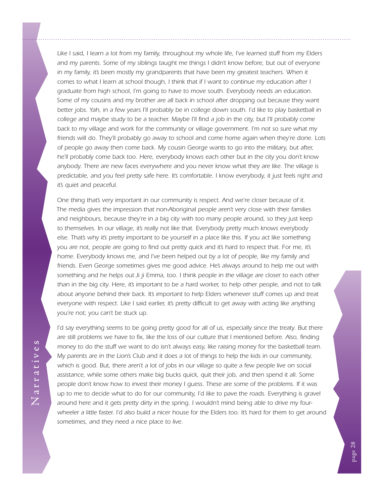*Like I said, I learn a lot from my family, throughout my whole life, I've learned stuff from my Elders and my parents. Some of my siblings taught me things I didn't know before, but out of everyone in my family, it's been mostly my grandparents that have been my greatest teachers. When it comes to what I learn at school though, I think that if I want to continue my education after I graduate from high school, I'm going to have to move south. Everybody needs an education. Some of my cousins and my brother are all back in school after dropping out because they want better jobs. Yah, in a few years I'll probably be in college down south. I'd like to play basketball in college and maybe study to be a teacher. Maybe I'll find a job in the city, but I'll probably come*  back to my village and work for the community or village government. I'm not so sure what my *friends will do. They'll probably go away to school and come home again when they're done. Lots of people go away then come back. My cousin George wants to go into the military, but after, he'll probably come back too. Here, everybody knows each other but in the city you don't know anybody. There are new faces everywhere and you never know what they are like. The village is predictable, and you feel pretty safe here. It's comfortable. I know everybody, it just feels right and it's quiet and peaceful.*

*One thing that's very important in our community is respect. And we're closer because of it. The media gives the impression that non-Aboriginal people aren't very close with their families and neighbours, because they're in a big city with too many people around, so they just keep*  to themselves. In our village, it's really not like that. Everybody pretty much knows everybody else. That's why it's pretty important to be yourself in a place like this. If you act like something *you are not, people are going to find out pretty quick and it's hard to respect that. For me, it's home. Everybody knows me, and I've been helped out by a lot of people, like my family and*  friends. Even George sometimes gives me good advice. He's always around to help me out with *something and he helps out Ji ji Emma, too. I think people in the village are closer to each other than in the big city. Here, it's important to be a hard worker, to help other people, and not to talk about anyone behind their back. It's important to help Elders whenever stuff comes up and treat everyone with respect. Like I said earlier, it's pretty difficult to get away with acting like anything you're not; you can't be stuck up.*

*I'd say everything seems to be going pretty good for all of us, especially since the treaty. But there are still problems we have to fix, like the loss of our culture that I mentioned before. Also, finding money to do the stuff we want to do isn't always easy, like raising money for the basketball team. My parents are in the Lion's Club and it does a lot of things to help the kids in our community,*  which is good. But, there aren't a lot of jobs in our village so quite a few people live on social *assistance, while some others make big bucks quick, quit their job, and then spend it all. Some people don't know how to invest their money I guess. These are some of the problems. If it was up to me to decide what to do for our community, I'd like to pave the roads. Everything is gravel around here and it gets pretty dirty in the spring. I wouldn't mind being able to drive my fourwheeler a little faster. I'd also build a nicer house for the Elders too. It's hard for them to get around sometimes, and they need a nice place to live.*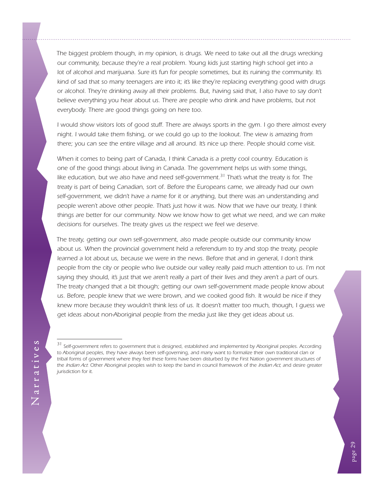*The biggest problem though, in my opinion, is drugs. We need to take out all the drugs wrecking our community, because they're a real problem. Young kids just starting high school get into a lot of alcohol and marijuana. Sure it's fun for people sometimes, but its ruining the community. It's kind of sad that so many teenagers are into it; it's like they're replacing everything good with drugs*  or alcohol. They're drinking away all their problems. But, having said that, I also have to say don't believe everything you hear about us. There are people who drink and have problems, but not *everybody. There are good things going on here too.*

*I would show visitors lots of good stuff. There are always sports in the gym. I go there almost every night. I would take them fishing, or we could go up to the lookout. The view is amazing from there; you can see the entire village and all around. It's nice up there. People should come visit.*

*When it comes to being part of Canada, I think Canada is a pretty cool country. Education is one of the good things about living in Canada. The government helps us with some things, like education, but we also have and need self-government. 31 That's what the treaty is for. The treaty is part of being Canadian, sort of. Before the Europeans came, we already had our own self-government, we didn't have a name for it or anything, but there was an understanding and people weren't above other people. That's just how it was. Now that we have our treaty, I think things are better for our community. Now we know how to get what we need, and we can make decisions for ourselves. The treaty gives us the respect we feel we deserve.*

*The treaty, getting our own self-government, also made people outside our community know about us. When the provincial government held a referendum to try and stop the treaty, people learned a lot about us, because we were in the news. Before that and in general, I don't think people from the city or people who live outside our valley really paid much attention to us. I'm not saying they should, it's just that we aren't really a part of their lives and they aren't a part of ours. The treaty changed that a bit though; getting our own self-government made people know about*  us. Before, people knew that we were brown, and we cooked good fish. It would be nice if they *knew more because they wouldn't think less of us. It doesn't matter too much, though, I guess we get ideas about non-Aboriginal people from the media just like they get ideas about us.*

<sup>&</sup>lt;sup>31</sup> Self-government refers to government that is designed, established and implemented by Aboriginal peoples. According *to Aboriginal peoples, they have always been self-governing, and many want to formalize their own traditional clan or*  tribal forms of government where they feel these forms have been disturbed by the First Nation government structures of *the Indian Act. Other Aboriginal peoples wish to keep the band in council framework of the Indian Act, and desire greater jurisdiction for it.*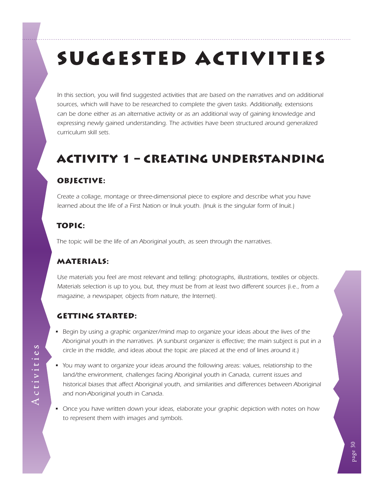# <span id="page-33-0"></span>SUGGESTED ACTIVITIES

*In this section, you will find suggested activities that are based on the narratives and on additional sources, which will have to be researched to complete the given tasks. Additionally, extensions can be done either as an alternative activity or as an additional way of gaining knowledge and*  expressing newly gained understanding. The activities have been structured around generalized *curriculum skill sets.*

# Activity 1 – Creating Understanding

#### Objective:

*Create a collage, montage or three-dimensional piece to explore and describe what you have learned about the life of a First Nation or Inuk youth. (Inuk is the singular form of Inuit.)* 

#### Topic:

*The topic will be the life of an Aboriginal youth, as seen through the narratives.*

#### Materials:

*Use materials you feel are most relevant and telling: photographs, illustrations, textiles or objects. Materials selection is up to you, but, they must be from at least two different sources (i.e., from a magazine, a newspaper, objects from nature, the Internet).*

#### Getting Started:

- Begin by using a graphic organizer/mind map to organize your ideas about the lives of the *Aboriginal youth in the narratives. (A sunburst organizer is effective; the main subject is put in a circle in the middle, and ideas about the topic are placed at the end of lines around it.)*
- You may want to organize your ideas around the following areas: values, relationship to the *land/the environment, challenges facing Aboriginal youth in Canada, current issues and historical biases that affect Aboriginal youth, and similarities and differences between Aboriginal and non-Aboriginal youth in Canada.*
- Once you have written down your ideas, elaborate your graphic depiction with notes on how *to represent them with images and symbols.*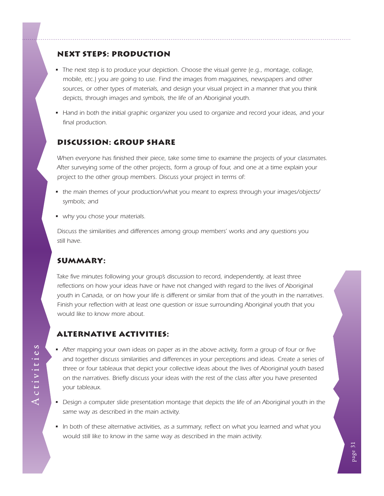#### Next Steps: Production

- The next step is to produce your depiction. Choose the visual genre (e.g., montage, collage, *mobile, etc.) you are going to use. Find the images from magazines, newspapers and other sources, or other types of materials, and design your visual project in a manner that you think depicts, through images and symbols, the life of an Aboriginal youth.*
- Hand in both the initial graphic organizer you used to organize and record your ideas, and your *final production.*

#### Discussion: Group Share

*When everyone has finished their piece, take some time to examine the projects of your classmates. After surveying some of the other projects, form a group of four, and one at a time explain your project to the other group members. Discuss your project in terms of:* 

- the main themes of your production/what you meant to express through your images/objects/ *symbols; and*
- why you chose your materials.

*Discuss the similarities and differences among group members' works and any questions you still have.*

#### Summary:

Take five minutes following your group's discussion to record, independently, at least three reflections on how your ideas have or have not changed with regard to the lives of Aboriginal *youth in Canada, or on how your life is different or similar from that of the youth in the narratives. Finish your reflection with at least one question or issue surrounding Aboriginal youth that you would like to know more about.*

#### Alternative Activities:

- After mapping your own ideas on paper as in the above activity, form a group of four or five *and together discuss similarities and differences in your perceptions and ideas. Create a series of three or four tableaux that depict your collective ideas about the lives of Aboriginal youth based on the narratives. Briefly discuss your ideas with the rest of the class after you have presented your tableaux.*
- Design a computer slide presentation montage that depicts the life of an Aboriginal youth in the *same way as described in the main activity.*
- In both of these alternative activities, as a summary, reflect on what you learned and what you *would still like to know in the same way as described in the main activity.*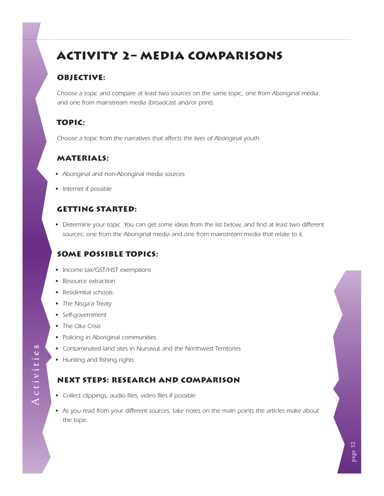# <span id="page-35-0"></span>Activity 2– Media Comparisons

## Objective:

*Choose a topic and compare at least two sources on the same topic, one from Aboriginal media and one from mainstream media (broadcast and/or print).*

## Topic:

*Choose a topic from the narratives that affects the lives of Aboriginal youth.*

### Materials:

- Aboriginal and non-Aboriginal media sources
- Internet if possible

#### Getting Started:

• Determine your topic. You can get some ideas from the list below, and find at least two different *sources: one from the Aboriginal media and one from mainstream media that relate to it.*

## Some Possible Topics:

- Income tax/GST/HST exemptions
- Resource extraction
- Residential schools
- The Nisga'a Treaty
- • Self-government
- The Oka Crisis
- Policing in Aboriginal communities
- Contaminated land sites in Nunavut and the Northwest Territories
- Hunting and fishing rights

### Next Steps: Research and Comparison

- • Collect clippings, audio files, video files if possible.
- As you read from your different sources, take notes on the main points the articles make about *the topic.*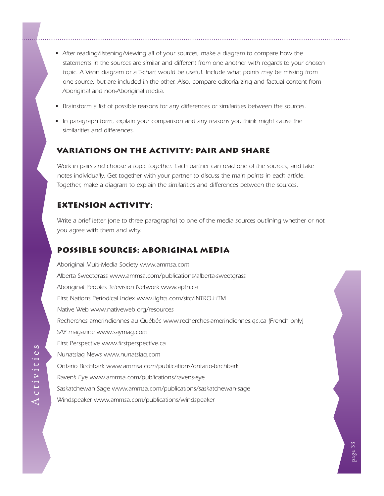- After reading/listening/viewing all of your sources, make a diagram to compare how the *statements in the sources are similar and different from one another with regards to your chosen*  topic. A Venn diagram or a T-chart would be useful. Include what points may be missing from *one source, but are included in the other. Also, compare editorializing and factual content from Aboriginal and non-Aboriginal media.*
- **•** Brainstorm a list of possible reasons for any differences or similarities between the sources.
- In paragraph form, explain your comparison and any reasons you think might cause the *similarities and differences.*

#### Variations on the Activity: Pair and Share

*Work in pairs and choose a topic together. Each partner can read one of the sources, and take notes individually. Get together with your partner to discuss the main points in each article. Together, make a diagram to explain the similarities and differences between the sources.*

#### Extension Activity:

*Write a brief letter (one to three paragraphs) to one of the media sources outlining whether or not you agree with them and why.*

#### Possible Sources: Aboriginal Media

*Aboriginal Multi-Media Society [www.ammsa.com](http://www.ammsa.com) Alberta Sweetgrass ww[w.ammsa.com/p](http://www.ammsa.com/sweetgrass/)ublications/alberta-sweetgrass Aboriginal Peoples Television Network [www.aptn.ca](http://www.aptn.ca) First Nations Periodical Index ww[w.lights.com/sifc/I](http://www.lights.com/sifc/INTRO.HTM)NTRO.HTM Native Web [www.nativeweb.org/resources](http://www.nativeweb.org/resources) Recherches amerindiennes au Québéc [www.recherches-amerindiennes.qc.ca](http://www.recherches-amerindiennes.qc.ca) (French only) SAY magazine [www.saymag.com](http://www.saymag.com) First Perspective [www.firstperspective.ca](http://www.firstperspective.ca) Nunatsiaq News ww[w.nunatsiaq.com](http://www.nunatsiaq.com/) Ontario Birchbark ww[w.ammsa.com/](http://www.ammsa.com/publications/ontario-birchbark)publications/ontario-birchbark Raven's Eye ww[w.ammsa.com/p](http://www.ammsa.com/publications/ravens-eye)ublications/ravens-eye Saskatchewan Sage ww[w.ammsa.com](http://www.ammsa.com/publications/saskatchewan-sage)/publications/saskatchewan-sage Windspeaker ww[w.ammsa.com/p](http://www.ammsa.com/windspeaker/)ublications/windspeaker*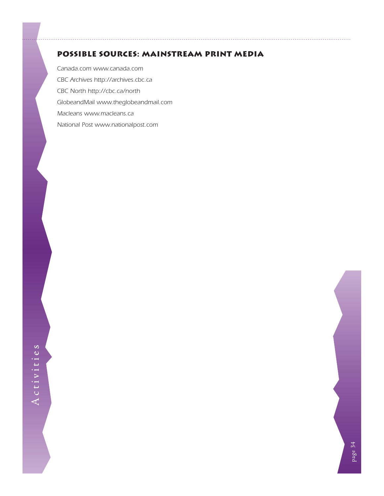#### Possible Sources: Mainstream Print Media

*Canada.com [www.canada.com](http://www.canada.com/index.html) CBC Archives [http://archives.cbc.ca](http://archives.cbc.ca/index.asp?IDLan=1) CBC North [http://cbc.ca/north](http://cbc.ca/north/) GlobeandMail [www.theglobeandmail.com](http://www.theglobeandmail.com) Macleans [www.macleans.ca](http://www.macleans.ca/) National Post ww[w.nationalpost.](http://www.canada.com/nationalpost/index.html)com*



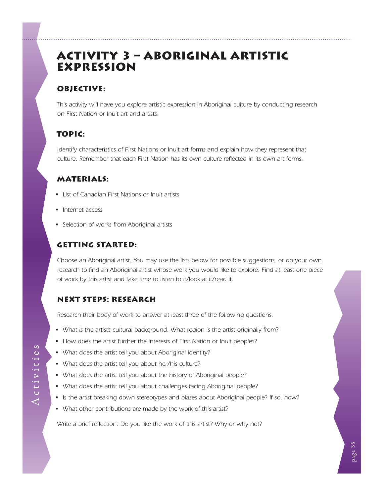## <span id="page-38-0"></span>Activity 3 – Aboriginal Artistic Expression

### OBJECTIVE:

*This activity will have you explore artistic expression in Aboriginal culture by conducting research on First Nation or Inuit art and artists.*

## Topic:

*Identify characteristics of First Nations or Inuit art forms and explain how they represent that culture. Remember that each First Nation has its own culture reflected in its own art forms.*

#### **MATERIALS:**

- List of Canadian First Nations or Inuit artists
- Internet access
- Selection of works from Aboriginal artists

### Getting Started:

*Choose an Aboriginal artist. You may use the lists below for possible suggestions, or do your own research to find an Aboriginal artist whose work you would like to explore. Find at least one piece of work by this artist and take time to listen to it/look at it/read it.*

### Next Steps: Research

*Research their body of work to answer at least three of the following questions.*

- What is the artist's cultural background. What region is the artist originally from?
- How does the artist further the interests of First Nation or Inuit peoples?
- What does the artist tell you about Aboriginal identity?
- What does the artist tell you about her/his culture?
- What does the artist tell you about the history of Aboriginal people?
- What does the artist tell you about challenges facing Aboriginal people?
- Is the artist breaking down stereotypes and biases about Aboriginal people? If so, how?
- What other contributions are made by the work of this artist?

*Write a brief reflection: Do you like the work of this artist? Why or why not?*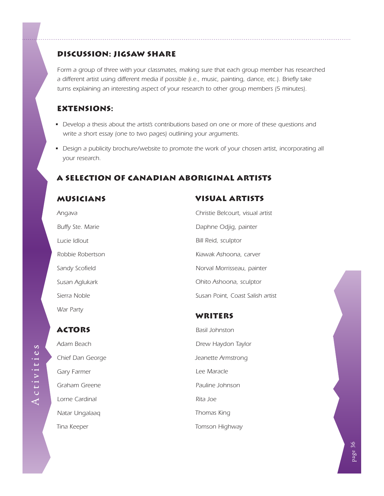#### Discussion: Jigsaw Share

Form a group of three with your classmates, making sure that each group member has researched *a different artist using different media if possible (i.e., music, painting, dance, etc.). Briefly take turns explaining an interesting aspect of your research to other group members (5 minutes).*

#### Extensions:

- Develop a thesis about the artist's contributions based on one or more of these questions and *write a short essay (one to two pages) outlining your arguments.*
- Design a publicity brochure/website to promote the work of your chosen artist, incorporating all *your research.*

### A Selection of Canadian Aboriginal Artists

#### **MUSICIANS**

*Angava Buffy Ste. Marie Lucie Idlout Robbie Robertson Sandy Scofield Susan Aglukark Sierra Noble War Party*

## Visual Artists

*Christie Belcourt, visual artist Daphne Odjig, painter Bill Reid, sculptor Kiawak Ashoona, carver Norval Morrisseau, painter Ohito Ashoona, sculptor Susan Point, Coast Salish artist*

#### WRITERS

*Basil Johnston Drew Haydon Taylor Jeanette Armstrong Lee Maracle Pauline Johnson Rita Joe Thomas King Tomson Highway*



**ACTORS** *Adam Beach Chief Dan George Gary Farmer Graham Greene Lorne Cardinal Natar Ungalaaq*

*Tina Keeper*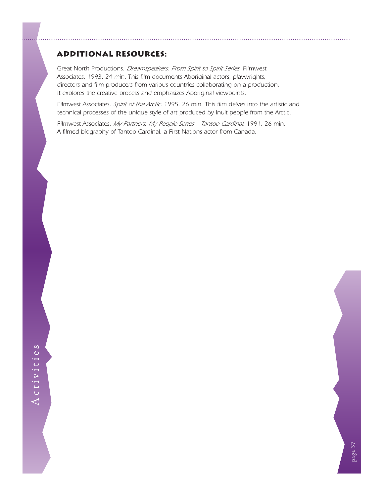#### Additional Resources:

*Great North Productions. Dreamspeakers, From Spirit to Spirit Series. Filmwest Associates, 1993. 24 min. This film documents Aboriginal actors, playwrights, directors and film producers from various countries collaborating on a production. It explores the creative process and emphasizes Aboriginal viewpoints.*

*Filmwest Associates. Spirit of the Arctic. 1995. 26 min. This film delves into the artistic and technical processes of the unique style of art produced by Inuit people from the Arctic.*

*Filmwest Associates. My Partners, My People Series – Tantoo Cardinal. 1991. 26 min. A filmed biography of Tantoo Cardinal, a First Nations actor from Canada.*



page 37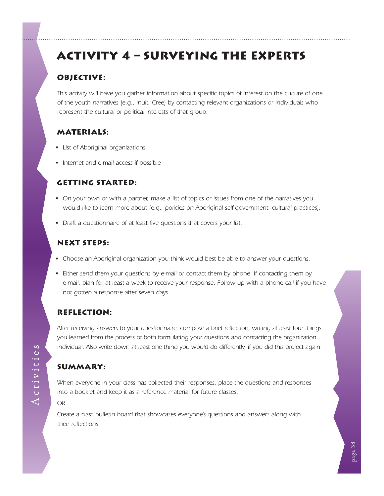# <span id="page-41-0"></span>Activity 4 – Surveying the Experts

### OBJECTIVE:

*This activity will have you gather information about specific topics of interest on the culture of one of the youth narratives (e.g., Inuit, Cree) by contacting relevant organizations or individuals who represent the cultural or political interests of that group.*

## Materials:

- **•** List of Aboriginal organizations
- Internet and e-mail access if possible

#### Getting Started:

- On your own or with a partner, make a list of topics or issues from one of the narratives you *would like to learn more about (e.g., policies on Aboriginal self-government, cultural practices).*
- Draft a questionnaire of at least five questions that covers your list.

#### **NEXT STEPS:**

- Choose an Aboriginal organization you think would best be able to answer your questions.
- Either send them your questions by e-mail or contact them by phone. If contacting them by *e-mail, plan for at least a week to receive your response. Follow up with a phone call if you have not gotten a response after seven days.*

### Reflection:

*After receiving answers to your questionnaire, compose a brief reflection, writing at least four things you learned from the process of both formulating your questions and contacting the organization individual. Also write down at least one thing you would do differently, if you did this project again.*

### Summary:

*When everyone in your class has collected their responses, place the questions and responses into a booklet and keep it as a reference material for future classes.*

*OR*

*Create a class bulletin board that showcases everyone's questions and answers along with their reflections.*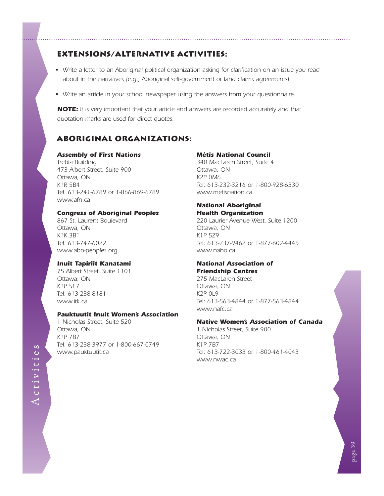#### Extensions/Alternative Activities:

- Write a letter to an Aboriginal political organization asking for clarification on an issue you read *about in the narratives (e.g., Aboriginal self-government or land claims agreements).*
- Write an article in your school newspaper using the answers from your questionnaire.

*NOTE: It is very important that your article and answers are recorded accurately and that quotation marks are used for direct quotes.*

#### Aboriginal Organizations:

#### *Assembly of First Nations*

*Trebla Building 473 Albert Street, Suite 900 Ottawa, ON K1R 5B4 Tel: 613-241-6789 or 1-866-869-6789 [www.afn.ca](http://www.afn.ca)*

#### *Congress of Aboriginal Peoples*

*867 St. Laurent Boulevard Ottawa, ON K1K 3B1 Tel: 613-747-6022 ww[w.abo-peoples.org](http://www.abo-peoples.org/)*

#### *Inuit Tapiriit Kanatami*

*75 Albert Street, Suite 1101 Ottawa, ON K1P 5E7 Tel: 613-238-8181 [www.itk.ca](http://www.itk.ca)*

#### *Pauktuutit Inuit Women's Association*

*1 Nicholas Street, Suite 520 Ottawa, ON K1P 7B7 Tel: 613-238-3977 or 1-800-667-0749 [www.pauktuutit.ca](http://www.pauktuutit.ca)*

#### *Métis National Council*

*340 MacLaren Street, Suite 4 Ottawa, ON K2P 0M6 Tel: 613-232-3216 or 1-800-928-6330 [www.metisnation.ca](http://www.metisnation.ca)*

#### *National Aboriginal Health Organization*

*220 Laurier Avenue West, Suite 1200 Ottawa, ON K1P 5Z9 Tel: 613-237-9462 or 1-877-602-4445 [www.](http://www.metisyouth.com)naho.ca*

#### *National Association of Friendship Centres*

*275 MacLaren Street Ottawa, ON K2P 0L9 Tel: 613-563-4844 or 1-877-563-4844 [www.nafc](http://www.nafc-aboriginal.com/).ca*

#### *Native Women's Association of Canada*

*1 Nicholas Street, Suite 900 Ottawa, ON K1P 7B7 Tel: 613-722-3033 or 1-800-461-4043 [www.nwac.](http://www.nwac-hq.org)ca*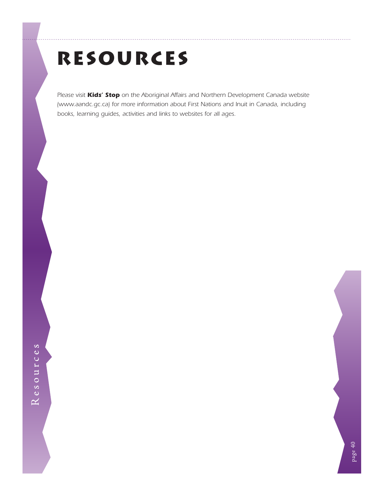# <span id="page-43-0"></span>RESOURCES

*Please visit Kids' Stop on the Aboriginal Affairs and Northern Development Canada website ([www.aandc.gc.ca\)](http://www.aandc.gc.ca) for more information about First Nations and Inuit in Canada, including books, learning guides, activities and links to websites for all ages.*

page 40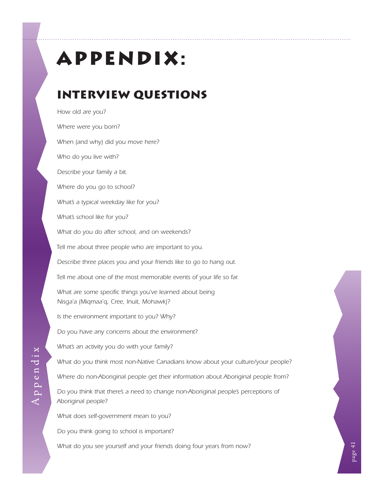# <span id="page-44-0"></span>Appendix:

# Interview Questions

*How old are you? Where were you born? When (and why) did you move here? Who do you live with? Describe your family a bit. Where do you go to school? What's a typical weekday like for you? What's school like for you? What do you do after school, and on weekends? Tell me about three people who are important to you. Describe three places you and your friends like to go to hang out. Tell me about one of the most memorable events of your life so far.* What are some specific things you've learned about being *Nisga'a (Miqmaa'q, Cree, Inuit, Mohawk)? Is the environment important to you? Why? Do you have any concerns about the environment? What's an activity you do with your family? What do you think most non-Native Canadians know about your culture/your people? Where do non-Aboriginal people get their information about Aboriginal people from?* Do you think that there's a need to change non-Aboriginal people's perceptions of *Aboriginal people? What does self-government mean to you? Do you think going to school is important?*

*What do you see yourself and your friends doing four years from now?*

page 41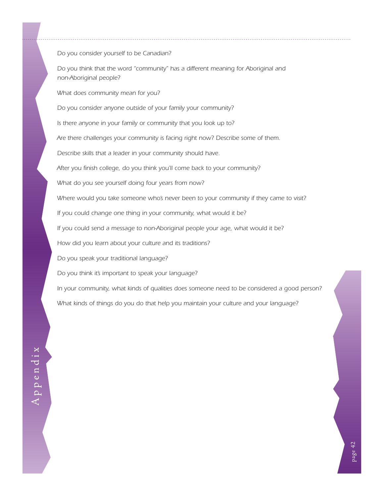*Do you consider yourself to be Canadian? Do you think that the word "community" has a different meaning for Aboriginal and non-Aboriginal people? What does community mean for you? Do you consider anyone outside of your family your community? Is there anyone in your family or community that you look up to? Are there challenges your community is facing right now? Describe some of them. Describe skills that a leader in your community should have. After you finish college, do you think you'll come back to your community? What do you see yourself doing four years from now? Where would you take someone who's never been to your community if they came to visit? If you could change one thing in your community, what would it be? If you could send a message to non-Aboriginal people your age, what would it be? How did you learn about your culture and its traditions? Do you speak your traditional language? Do you think it's important to speak your language? In your community, what kinds of qualities does someone need to be considered a good person? What kinds of things do you do that help you maintain your culture and your language?*

Appendix Appendix